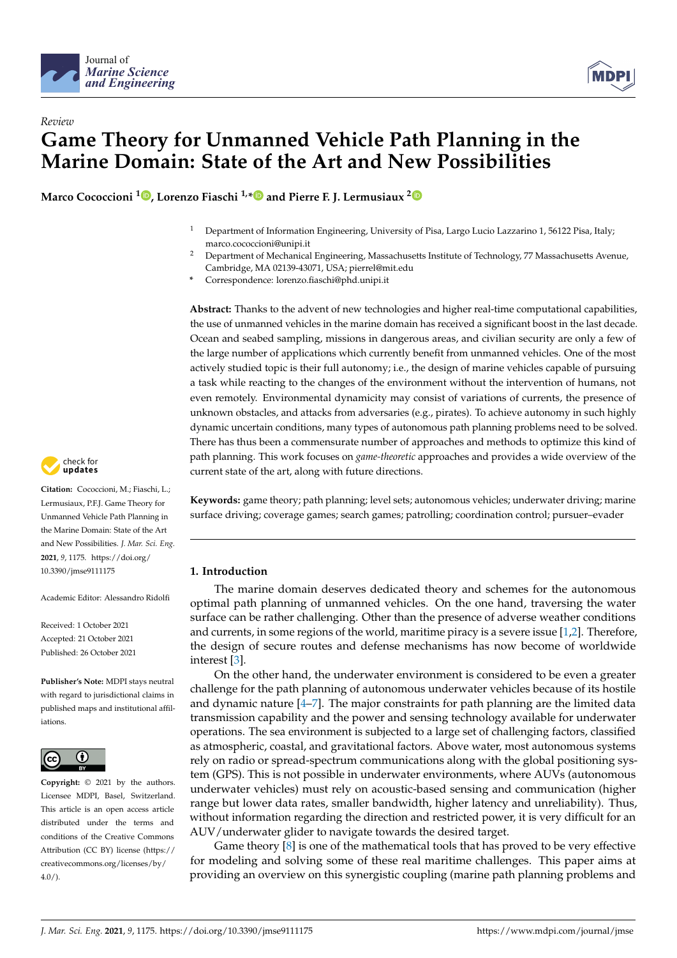



# *Review* **Game Theory for Unmanned Vehicle Path Planning in the Marine Domain: State of the Art and New Possibilities**

**Marco Cococcioni <sup>1</sup> [,](https://orcid.org/0000-0002-7020-1524) Lorenzo Fiaschi 1,[\\*](https://orcid.org/0000-0002-5413-0148) and Pierre F. J. Lermusiaux [2](https://orcid.org/0000-0002-1869-3883)**

- <sup>1</sup> Department of Information Engineering, University of Pisa, Largo Lucio Lazzarino 1, 56122 Pisa, Italy; marco.cococcioni@unipi.it
- <sup>2</sup> Department of Mechanical Engineering, Massachusetts Institute of Technology, 77 Massachusetts Avenue, Cambridge, MA 02139-43071, USA; pierrel@mit.edu
- **\*** Correspondence: lorenzo.fiaschi@phd.unipi.it

**Abstract:** Thanks to the advent of new technologies and higher real-time computational capabilities, the use of unmanned vehicles in the marine domain has received a significant boost in the last decade. Ocean and seabed sampling, missions in dangerous areas, and civilian security are only a few of the large number of applications which currently benefit from unmanned vehicles. One of the most actively studied topic is their full autonomy; i.e., the design of marine vehicles capable of pursuing a task while reacting to the changes of the environment without the intervention of humans, not even remotely. Environmental dynamicity may consist of variations of currents, the presence of unknown obstacles, and attacks from adversaries (e.g., pirates). To achieve autonomy in such highly dynamic uncertain conditions, many types of autonomous path planning problems need to be solved. There has thus been a commensurate number of approaches and methods to optimize this kind of path planning. This work focuses on *game-theoretic* approaches and provides a wide overview of the current state of the art, along with future directions.

**Keywords:** game theory; path planning; level sets; autonomous vehicles; underwater driving; marine surface driving; coverage games; search games; patrolling; coordination control; pursuer–evader

# **1. Introduction**

The marine domain deserves dedicated theory and schemes for the autonomous optimal path planning of unmanned vehicles. On the one hand, traversing the water surface can be rather challenging. Other than the presence of adverse weather conditions and currents, in some regions of the world, maritime piracy is a severe issue [\[1](#page-11-0)[,2\]](#page-11-1). Therefore, the design of secure routes and defense mechanisms has now become of worldwide interest [\[3\]](#page-11-2).

On the other hand, the underwater environment is considered to be even a greater challenge for the path planning of autonomous underwater vehicles because of its hostile and dynamic nature  $[4-7]$  $[4-7]$ . The major constraints for path planning are the limited data transmission capability and the power and sensing technology available for underwater operations. The sea environment is subjected to a large set of challenging factors, classified as atmospheric, coastal, and gravitational factors. Above water, most autonomous systems rely on radio or spread-spectrum communications along with the global positioning system (GPS). This is not possible in underwater environments, where AUVs (autonomous underwater vehicles) must rely on acoustic-based sensing and communication (higher range but lower data rates, smaller bandwidth, higher latency and unreliability). Thus, without information regarding the direction and restricted power, it is very difficult for an AUV/underwater glider to navigate towards the desired target.

Game theory [\[8\]](#page-12-0) is one of the mathematical tools that has proved to be very effective for modeling and solving some of these real maritime challenges. This paper aims at providing an overview on this synergistic coupling (marine path planning problems and



**Citation:** Cococcioni, M.; Fiaschi, L.; Lermusiaux, P.F.J. Game Theory for Unmanned Vehicle Path Planning in the Marine Domain: State of the Art and New Possibilities. *J. Mar. Sci. Eng.* **2021**, *9*, 1175. [https://doi.org/](https://doi.org/10.3390/jmse9111175) [10.3390/jmse9111175](https://doi.org/10.3390/jmse9111175)

Academic Editor: Alessandro Ridolfi

Received: 1 October 2021 Accepted: 21 October 2021 Published: 26 October 2021

**Publisher's Note:** MDPI stays neutral with regard to jurisdictional claims in published maps and institutional affiliations.



**Copyright:** © 2021 by the authors. Licensee MDPI, Basel, Switzerland. This article is an open access article distributed under the terms and conditions of the Creative Commons Attribution (CC BY) license (https:/[/](https://creativecommons.org/licenses/by/4.0/) [creativecommons.org/licenses/by/](https://creativecommons.org/licenses/by/4.0/) 4.0/).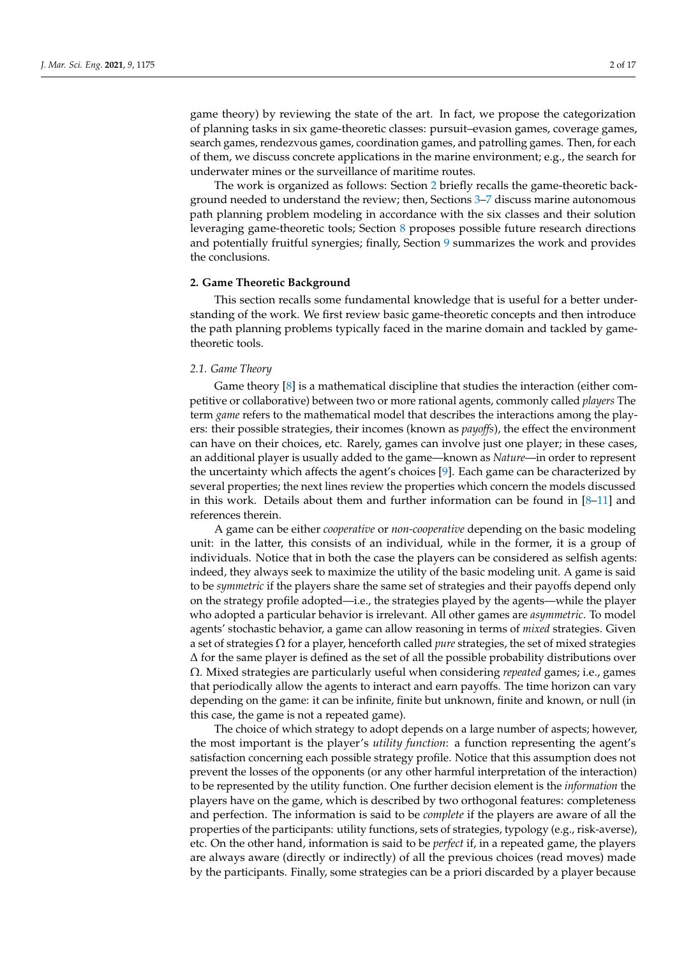game theory) by reviewing the state of the art. In fact, we propose the categorization of planning tasks in six game-theoretic classes: pursuit–evasion games, coverage games, search games, rendezvous games, coordination games, and patrolling games. Then, for each of them, we discuss concrete applications in the marine environment; e.g., the search for underwater mines or the surveillance of maritime routes.

The work is organized as follows: Section [2](#page-1-0) briefly recalls the game-theoretic background needed to understand the review; then, Sections [3–](#page-4-0)[7](#page-8-0) discuss marine autonomous path planning problem modeling in accordance with the six classes and their solution leveraging game-theoretic tools; Section [8](#page-10-0) proposes possible future research directions and potentially fruitful synergies; finally, Section [9](#page-11-5) summarizes the work and provides the conclusions.

## <span id="page-1-0"></span>**2. Game Theoretic Background**

This section recalls some fundamental knowledge that is useful for a better understanding of the work. We first review basic game-theoretic concepts and then introduce the path planning problems typically faced in the marine domain and tackled by gametheoretic tools.

# *2.1. Game Theory*

Game theory [\[8\]](#page-12-0) is a mathematical discipline that studies the interaction (either competitive or collaborative) between two or more rational agents, commonly called *players* The term *game* refers to the mathematical model that describes the interactions among the players: their possible strategies, their incomes (known as *payoffs*), the effect the environment can have on their choices, etc. Rarely, games can involve just one player; in these cases, an additional player is usually added to the game—known as *Nature*—in order to represent the uncertainty which affects the agent's choices [\[9\]](#page-12-1). Each game can be characterized by several properties; the next lines review the properties which concern the models discussed in this work. Details about them and further information can be found in  $[8-11]$  $[8-11]$  and references therein.

A game can be either *cooperative* or *non-cooperative* depending on the basic modeling unit: in the latter, this consists of an individual, while in the former, it is a group of individuals. Notice that in both the case the players can be considered as selfish agents: indeed, they always seek to maximize the utility of the basic modeling unit. A game is said to be *symmetric* if the players share the same set of strategies and their payoffs depend only on the strategy profile adopted—i.e., the strategies played by the agents—while the player who adopted a particular behavior is irrelevant. All other games are *asymmetric*. To model agents' stochastic behavior, a game can allow reasoning in terms of *mixed* strategies. Given a set of strategies Ω for a player, henceforth called *pure* strategies, the set of mixed strategies  $\Delta$  for the same player is defined as the set of all the possible probability distributions over Ω. Mixed strategies are particularly useful when considering *repeated* games; i.e., games that periodically allow the agents to interact and earn payoffs. The time horizon can vary depending on the game: it can be infinite, finite but unknown, finite and known, or null (in this case, the game is not a repeated game).

The choice of which strategy to adopt depends on a large number of aspects; however, the most important is the player's *utility function*: a function representing the agent's satisfaction concerning each possible strategy profile. Notice that this assumption does not prevent the losses of the opponents (or any other harmful interpretation of the interaction) to be represented by the utility function. One further decision element is the *information* the players have on the game, which is described by two orthogonal features: completeness and perfection. The information is said to be *complete* if the players are aware of all the properties of the participants: utility functions, sets of strategies, typology (e.g., risk-averse), etc. On the other hand, information is said to be *perfect* if, in a repeated game, the players are always aware (directly or indirectly) of all the previous choices (read moves) made by the participants. Finally, some strategies can be a priori discarded by a player because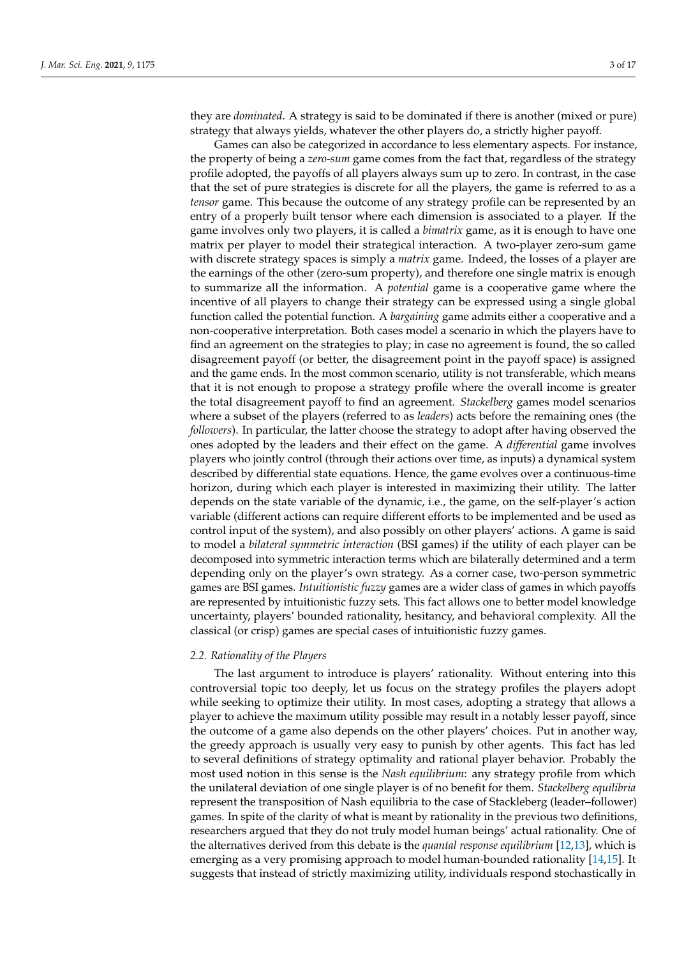they are *dominated*. A strategy is said to be dominated if there is another (mixed or pure) strategy that always yields, whatever the other players do, a strictly higher payoff.

Games can also be categorized in accordance to less elementary aspects. For instance, the property of being a *zero-sum* game comes from the fact that, regardless of the strategy profile adopted, the payoffs of all players always sum up to zero. In contrast, in the case that the set of pure strategies is discrete for all the players, the game is referred to as a *tensor* game. This because the outcome of any strategy profile can be represented by an entry of a properly built tensor where each dimension is associated to a player. If the game involves only two players, it is called a *bimatrix* game, as it is enough to have one matrix per player to model their strategical interaction. A two-player zero-sum game with discrete strategy spaces is simply a *matrix* game. Indeed, the losses of a player are the earnings of the other (zero-sum property), and therefore one single matrix is enough to summarize all the information. A *potential* game is a cooperative game where the incentive of all players to change their strategy can be expressed using a single global function called the potential function. A *bargaining* game admits either a cooperative and a non-cooperative interpretation. Both cases model a scenario in which the players have to find an agreement on the strategies to play; in case no agreement is found, the so called disagreement payoff (or better, the disagreement point in the payoff space) is assigned and the game ends. In the most common scenario, utility is not transferable, which means that it is not enough to propose a strategy profile where the overall income is greater the total disagreement payoff to find an agreement. *Stackelberg* games model scenarios where a subset of the players (referred to as *leaders*) acts before the remaining ones (the *followers*). In particular, the latter choose the strategy to adopt after having observed the ones adopted by the leaders and their effect on the game. A *differential* game involves players who jointly control (through their actions over time, as inputs) a dynamical system described by differential state equations. Hence, the game evolves over a continuous-time horizon, during which each player is interested in maximizing their utility. The latter depends on the state variable of the dynamic, i.e., the game, on the self-player's action variable (different actions can require different efforts to be implemented and be used as control input of the system), and also possibly on other players' actions. A game is said to model a *bilateral symmetric interaction* (BSI games) if the utility of each player can be decomposed into symmetric interaction terms which are bilaterally determined and a term depending only on the player's own strategy. As a corner case, two-person symmetric games are BSI games. *Intuitionistic fuzzy* games are a wider class of games in which payoffs are represented by intuitionistic fuzzy sets. This fact allows one to better model knowledge uncertainty, players' bounded rationality, hesitancy, and behavioral complexity. All the classical (or crisp) games are special cases of intuitionistic fuzzy games.

#### *2.2. Rationality of the Players*

The last argument to introduce is players' rationality. Without entering into this controversial topic too deeply, let us focus on the strategy profiles the players adopt while seeking to optimize their utility. In most cases, adopting a strategy that allows a player to achieve the maximum utility possible may result in a notably lesser payoff, since the outcome of a game also depends on the other players' choices. Put in another way, the greedy approach is usually very easy to punish by other agents. This fact has led to several definitions of strategy optimality and rational player behavior. Probably the most used notion in this sense is the *Nash equilibrium*: any strategy profile from which the unilateral deviation of one single player is of no benefit for them. *Stackelberg equilibria* represent the transposition of Nash equilibria to the case of Stackleberg (leader–follower) games. In spite of the clarity of what is meant by rationality in the previous two definitions, researchers argued that they do not truly model human beings' actual rationality. One of the alternatives derived from this debate is the *quantal response equilibrium* [\[12](#page-12-3)[,13\]](#page-12-4), which is emerging as a very promising approach to model human-bounded rationality [\[14,](#page-12-5)[15\]](#page-12-6). It suggests that instead of strictly maximizing utility, individuals respond stochastically in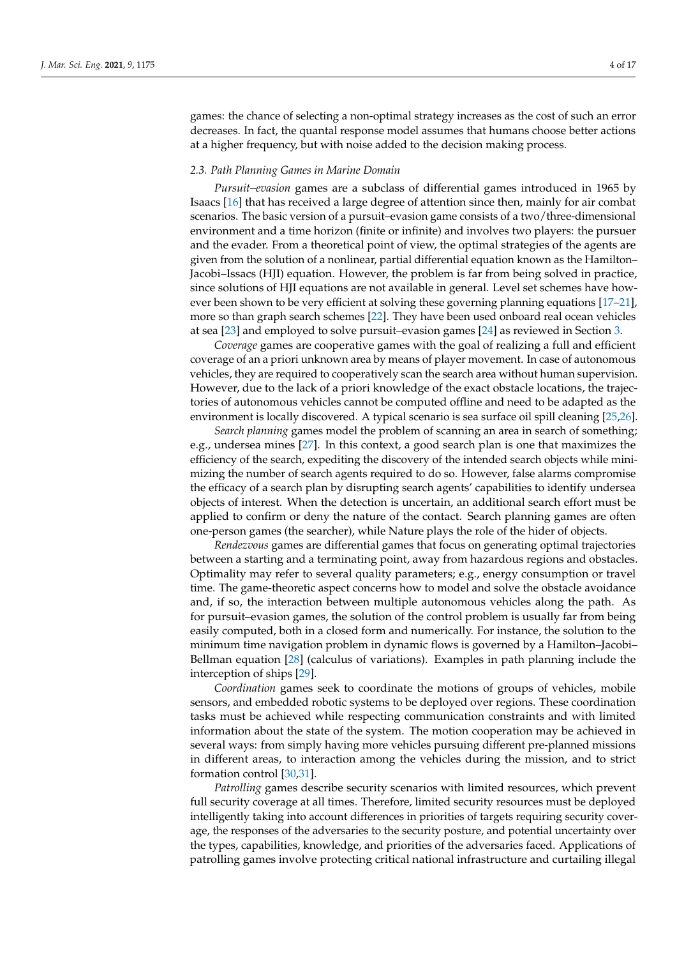games: the chance of selecting a non-optimal strategy increases as the cost of such an error decreases. In fact, the quantal response model assumes that humans choose better actions at a higher frequency, but with noise added to the decision making process.

#### *2.3. Path Planning Games in Marine Domain*

*Pursuit–evasion* games are a subclass of differential games introduced in 1965 by Isaacs [\[16\]](#page-12-7) that has received a large degree of attention since then, mainly for air combat scenarios. The basic version of a pursuit–evasion game consists of a two/three-dimensional environment and a time horizon (finite or infinite) and involves two players: the pursuer and the evader. From a theoretical point of view, the optimal strategies of the agents are given from the solution of a nonlinear, partial differential equation known as the Hamilton– Jacobi–Issacs (HJI) equation. However, the problem is far from being solved in practice, since solutions of HJI equations are not available in general. Level set schemes have however been shown to be very efficient at solving these governing planning equations [\[17–](#page-12-8)[21\]](#page-12-9), more so than graph search schemes [\[22\]](#page-12-10). They have been used onboard real ocean vehicles at sea [\[23\]](#page-12-11) and employed to solve pursuit–evasion games [\[24\]](#page-12-12) as reviewed in Section [3.](#page-4-0)

*Coverage* games are cooperative games with the goal of realizing a full and efficient coverage of an a priori unknown area by means of player movement. In case of autonomous vehicles, they are required to cooperatively scan the search area without human supervision. However, due to the lack of a priori knowledge of the exact obstacle locations, the trajectories of autonomous vehicles cannot be computed offline and need to be adapted as the environment is locally discovered. A typical scenario is sea surface oil spill cleaning [\[25](#page-12-13)[,26\]](#page-12-14).

*Search planning* games model the problem of scanning an area in search of something; e.g., undersea mines [\[27\]](#page-12-15). In this context, a good search plan is one that maximizes the efficiency of the search, expediting the discovery of the intended search objects while minimizing the number of search agents required to do so. However, false alarms compromise the efficacy of a search plan by disrupting search agents' capabilities to identify undersea objects of interest. When the detection is uncertain, an additional search effort must be applied to confirm or deny the nature of the contact. Search planning games are often one-person games (the searcher), while Nature plays the role of the hider of objects.

*Rendezvous* games are differential games that focus on generating optimal trajectories between a starting and a terminating point, away from hazardous regions and obstacles. Optimality may refer to several quality parameters; e.g., energy consumption or travel time. The game-theoretic aspect concerns how to model and solve the obstacle avoidance and, if so, the interaction between multiple autonomous vehicles along the path. As for pursuit–evasion games, the solution of the control problem is usually far from being easily computed, both in a closed form and numerically. For instance, the solution to the minimum time navigation problem in dynamic flows is governed by a Hamilton–Jacobi– Bellman equation [\[28\]](#page-12-16) (calculus of variations). Examples in path planning include the interception of ships [\[29\]](#page-12-17).

*Coordination* games seek to coordinate the motions of groups of vehicles, mobile sensors, and embedded robotic systems to be deployed over regions. These coordination tasks must be achieved while respecting communication constraints and with limited information about the state of the system. The motion cooperation may be achieved in several ways: from simply having more vehicles pursuing different pre-planned missions in different areas, to interaction among the vehicles during the mission, and to strict formation control [\[30](#page-12-18)[,31\]](#page-12-19).

*Patrolling* games describe security scenarios with limited resources, which prevent full security coverage at all times. Therefore, limited security resources must be deployed intelligently taking into account differences in priorities of targets requiring security coverage, the responses of the adversaries to the security posture, and potential uncertainty over the types, capabilities, knowledge, and priorities of the adversaries faced. Applications of patrolling games involve protecting critical national infrastructure and curtailing illegal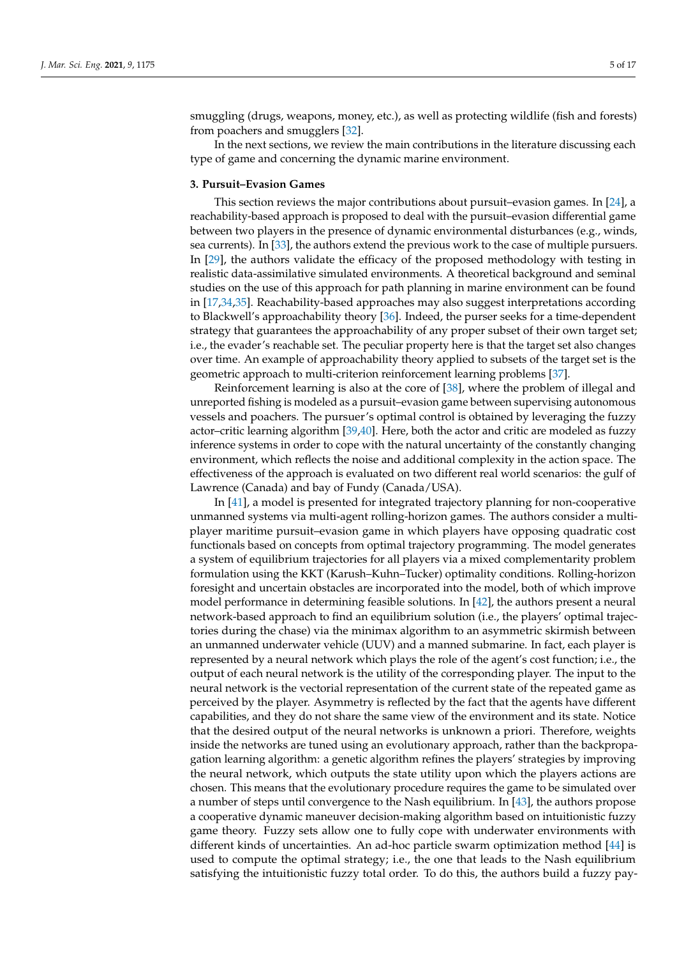smuggling (drugs, weapons, money, etc.), as well as protecting wildlife (fish and forests) from poachers and smugglers [\[32\]](#page-12-20).

In the next sections, we review the main contributions in the literature discussing each type of game and concerning the dynamic marine environment.

### <span id="page-4-0"></span>**3. Pursuit–Evasion Games**

This section reviews the major contributions about pursuit–evasion games. In [\[24\]](#page-12-12), a reachability-based approach is proposed to deal with the pursuit–evasion differential game between two players in the presence of dynamic environmental disturbances (e.g., winds, sea currents). In [\[33\]](#page-12-21), the authors extend the previous work to the case of multiple pursuers. In [\[29\]](#page-12-17), the authors validate the efficacy of the proposed methodology with testing in realistic data-assimilative simulated environments. A theoretical background and seminal studies on the use of this approach for path planning in marine environment can be found in [\[17,](#page-12-8)[34](#page-12-22)[,35\]](#page-12-23). Reachability-based approaches may also suggest interpretations according to Blackwell's approachability theory [\[36\]](#page-12-24). Indeed, the purser seeks for a time-dependent strategy that guarantees the approachability of any proper subset of their own target set; i.e., the evader's reachable set. The peculiar property here is that the target set also changes over time. An example of approachability theory applied to subsets of the target set is the geometric approach to multi-criterion reinforcement learning problems [\[37\]](#page-12-25).

Reinforcement learning is also at the core of [\[38\]](#page-13-0), where the problem of illegal and unreported fishing is modeled as a pursuit–evasion game between supervising autonomous vessels and poachers. The pursuer's optimal control is obtained by leveraging the fuzzy actor–critic learning algorithm [\[39,](#page-13-1)[40\]](#page-13-2). Here, both the actor and critic are modeled as fuzzy inference systems in order to cope with the natural uncertainty of the constantly changing environment, which reflects the noise and additional complexity in the action space. The effectiveness of the approach is evaluated on two different real world scenarios: the gulf of Lawrence (Canada) and bay of Fundy (Canada/USA).

In [\[41\]](#page-13-3), a model is presented for integrated trajectory planning for non-cooperative unmanned systems via multi-agent rolling-horizon games. The authors consider a multiplayer maritime pursuit–evasion game in which players have opposing quadratic cost functionals based on concepts from optimal trajectory programming. The model generates a system of equilibrium trajectories for all players via a mixed complementarity problem formulation using the KKT (Karush–Kuhn–Tucker) optimality conditions. Rolling-horizon foresight and uncertain obstacles are incorporated into the model, both of which improve model performance in determining feasible solutions. In [\[42\]](#page-13-4), the authors present a neural network-based approach to find an equilibrium solution (i.e., the players' optimal trajectories during the chase) via the minimax algorithm to an asymmetric skirmish between an unmanned underwater vehicle (UUV) and a manned submarine. In fact, each player is represented by a neural network which plays the role of the agent's cost function; i.e., the output of each neural network is the utility of the corresponding player. The input to the neural network is the vectorial representation of the current state of the repeated game as perceived by the player. Asymmetry is reflected by the fact that the agents have different capabilities, and they do not share the same view of the environment and its state. Notice that the desired output of the neural networks is unknown a priori. Therefore, weights inside the networks are tuned using an evolutionary approach, rather than the backpropagation learning algorithm: a genetic algorithm refines the players' strategies by improving the neural network, which outputs the state utility upon which the players actions are chosen. This means that the evolutionary procedure requires the game to be simulated over a number of steps until convergence to the Nash equilibrium. In [\[43\]](#page-13-5), the authors propose a cooperative dynamic maneuver decision-making algorithm based on intuitionistic fuzzy game theory. Fuzzy sets allow one to fully cope with underwater environments with different kinds of uncertainties. An ad-hoc particle swarm optimization method [\[44\]](#page-13-6) is used to compute the optimal strategy; i.e., the one that leads to the Nash equilibrium satisfying the intuitionistic fuzzy total order. To do this, the authors build a fuzzy pay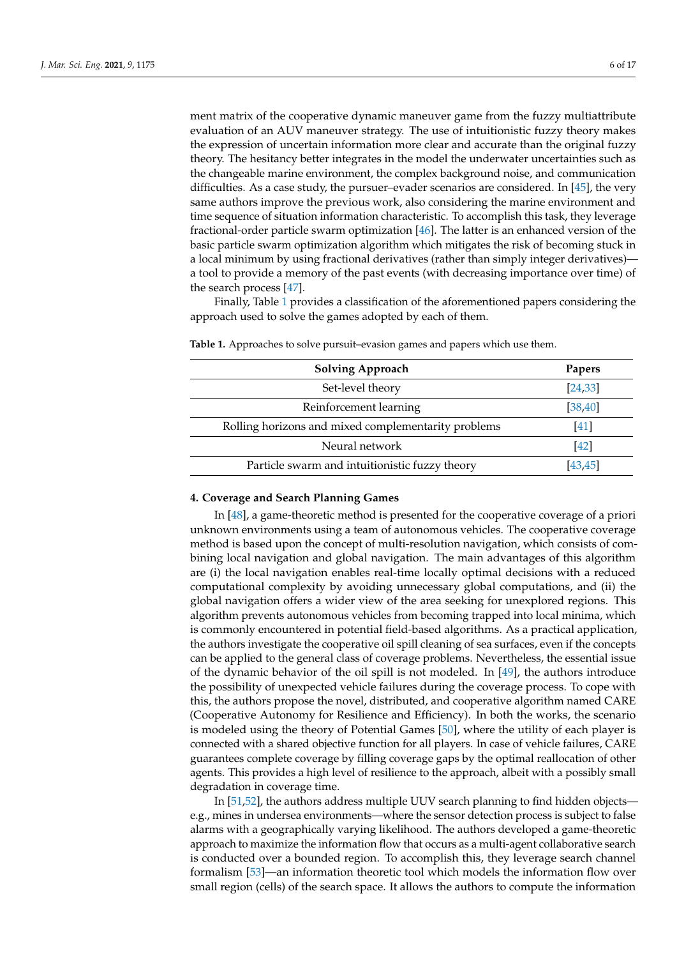ment matrix of the cooperative dynamic maneuver game from the fuzzy multiattribute evaluation of an AUV maneuver strategy. The use of intuitionistic fuzzy theory makes the expression of uncertain information more clear and accurate than the original fuzzy theory. The hesitancy better integrates in the model the underwater uncertainties such as the changeable marine environment, the complex background noise, and communication difficulties. As a case study, the pursuer–evader scenarios are considered. In  $[45]$ , the very same authors improve the previous work, also considering the marine environment and time sequence of situation information characteristic. To accomplish this task, they leverage fractional-order particle swarm optimization [\[46\]](#page-13-8). The latter is an enhanced version of the basic particle swarm optimization algorithm which mitigates the risk of becoming stuck in a local minimum by using fractional derivatives (rather than simply integer derivatives) a tool to provide a memory of the past events (with decreasing importance over time) of the search process [\[47\]](#page-13-9).

Finally, Table [1](#page-5-0) provides a classification of the aforementioned papers considering the approach used to solve the games adopted by each of them.

| Papers   |
|----------|
| [24, 33] |
| [38, 40] |
| [41]     |
| [42]     |
| [43.45]  |
|          |

<span id="page-5-0"></span>**Table 1.** Approaches to solve pursuit–evasion games and papers which use them.

#### **4. Coverage and Search Planning Games**

In [\[48\]](#page-13-10), a game-theoretic method is presented for the cooperative coverage of a priori unknown environments using a team of autonomous vehicles. The cooperative coverage method is based upon the concept of multi-resolution navigation, which consists of combining local navigation and global navigation. The main advantages of this algorithm are (i) the local navigation enables real-time locally optimal decisions with a reduced computational complexity by avoiding unnecessary global computations, and (ii) the global navigation offers a wider view of the area seeking for unexplored regions. This algorithm prevents autonomous vehicles from becoming trapped into local minima, which is commonly encountered in potential field-based algorithms. As a practical application, the authors investigate the cooperative oil spill cleaning of sea surfaces, even if the concepts can be applied to the general class of coverage problems. Nevertheless, the essential issue of the dynamic behavior of the oil spill is not modeled. In [\[49\]](#page-13-11), the authors introduce the possibility of unexpected vehicle failures during the coverage process. To cope with this, the authors propose the novel, distributed, and cooperative algorithm named CARE (Cooperative Autonomy for Resilience and Efficiency). In both the works, the scenario is modeled using the theory of Potential Games [\[50\]](#page-13-12), where the utility of each player is connected with a shared objective function for all players. In case of vehicle failures, CARE guarantees complete coverage by filling coverage gaps by the optimal reallocation of other agents. This provides a high level of resilience to the approach, albeit with a possibly small degradation in coverage time.

In [\[51,](#page-13-13)[52\]](#page-13-14), the authors address multiple UUV search planning to find hidden objects e.g., mines in undersea environments—where the sensor detection process is subject to false alarms with a geographically varying likelihood. The authors developed a game-theoretic approach to maximize the information flow that occurs as a multi-agent collaborative search is conducted over a bounded region. To accomplish this, they leverage search channel formalism [\[53\]](#page-13-15)—an information theoretic tool which models the information flow over small region (cells) of the search space. It allows the authors to compute the information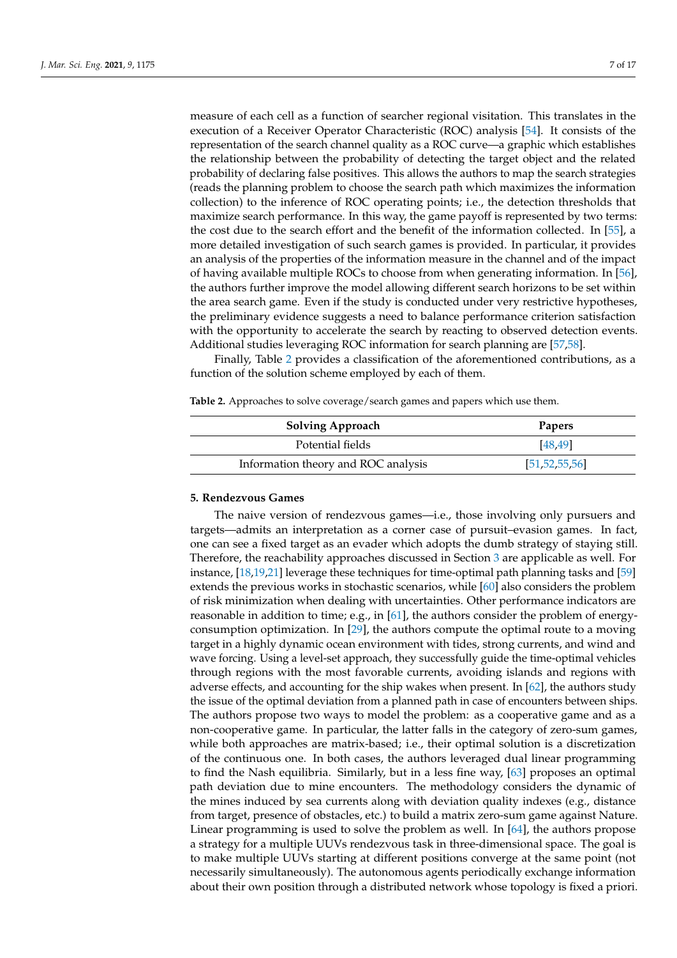measure of each cell as a function of searcher regional visitation. This translates in the execution of a Receiver Operator Characteristic (ROC) analysis [\[54\]](#page-13-16). It consists of the representation of the search channel quality as a ROC curve—a graphic which establishes the relationship between the probability of detecting the target object and the related probability of declaring false positives. This allows the authors to map the search strategies (reads the planning problem to choose the search path which maximizes the information collection) to the inference of ROC operating points; i.e., the detection thresholds that maximize search performance. In this way, the game payoff is represented by two terms: the cost due to the search effort and the benefit of the information collected. In [\[55\]](#page-13-17), a more detailed investigation of such search games is provided. In particular, it provides an analysis of the properties of the information measure in the channel and of the impact of having available multiple ROCs to choose from when generating information. In [\[56\]](#page-13-18), the authors further improve the model allowing different search horizons to be set within the area search game. Even if the study is conducted under very restrictive hypotheses, the preliminary evidence suggests a need to balance performance criterion satisfaction with the opportunity to accelerate the search by reacting to observed detection events. Additional studies leveraging ROC information for search planning are [\[57](#page-13-19)[,58\]](#page-13-20).

Finally, Table [2](#page-6-0) provides a classification of the aforementioned contributions, as a function of the solution scheme employed by each of them.

<span id="page-6-0"></span>

|  | <b>Table 2.</b> Approaches to solve coverage/search games and papers which use them |  |  |  |
|--|-------------------------------------------------------------------------------------|--|--|--|
|--|-------------------------------------------------------------------------------------|--|--|--|

| <b>Solving Approach</b>             | <b>Papers</b>    |
|-------------------------------------|------------------|
| Potential fields                    | [48, 49]         |
| Information theory and ROC analysis | [51, 52, 55, 56] |

### <span id="page-6-1"></span>**5. Rendezvous Games**

The naive version of rendezvous games—i.e., those involving only pursuers and targets—admits an interpretation as a corner case of pursuit–evasion games. In fact, one can see a fixed target as an evader which adopts the dumb strategy of staying still. Therefore, the reachability approaches discussed in Section [3](#page-4-0) are applicable as well. For instance, [\[18,](#page-12-26)[19,](#page-12-27)[21\]](#page-12-9) leverage these techniques for time-optimal path planning tasks and [\[59\]](#page-13-21) extends the previous works in stochastic scenarios, while [\[60\]](#page-13-22) also considers the problem of risk minimization when dealing with uncertainties. Other performance indicators are reasonable in addition to time; e.g., in [\[61\]](#page-13-23), the authors consider the problem of energyconsumption optimization. In [\[29\]](#page-12-17), the authors compute the optimal route to a moving target in a highly dynamic ocean environment with tides, strong currents, and wind and wave forcing. Using a level-set approach, they successfully guide the time-optimal vehicles through regions with the most favorable currents, avoiding islands and regions with adverse effects, and accounting for the ship wakes when present. In [\[62\]](#page-13-24), the authors study the issue of the optimal deviation from a planned path in case of encounters between ships. The authors propose two ways to model the problem: as a cooperative game and as a non-cooperative game. In particular, the latter falls in the category of zero-sum games, while both approaches are matrix-based; i.e., their optimal solution is a discretization of the continuous one. In both cases, the authors leveraged dual linear programming to find the Nash equilibria. Similarly, but in a less fine way, [\[63\]](#page-13-25) proposes an optimal path deviation due to mine encounters. The methodology considers the dynamic of the mines induced by sea currents along with deviation quality indexes (e.g., distance from target, presence of obstacles, etc.) to build a matrix zero-sum game against Nature. Linear programming is used to solve the problem as well. In [\[64\]](#page-13-26), the authors propose a strategy for a multiple UUVs rendezvous task in three-dimensional space. The goal is to make multiple UUVs starting at different positions converge at the same point (not necessarily simultaneously). The autonomous agents periodically exchange information about their own position through a distributed network whose topology is fixed a priori.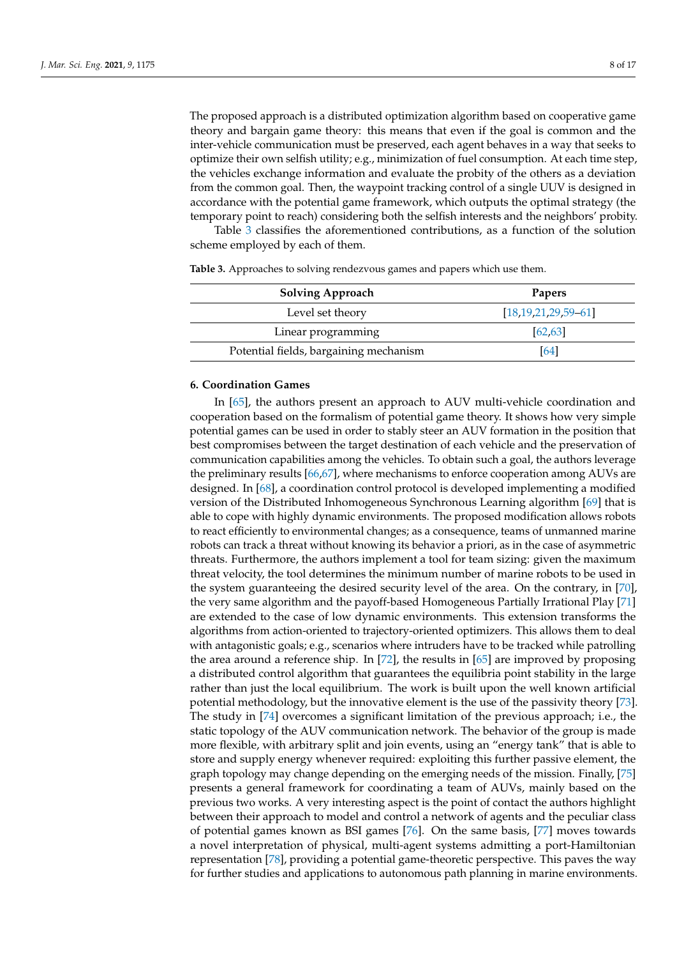The proposed approach is a distributed optimization algorithm based on cooperative game theory and bargain game theory: this means that even if the goal is common and the inter-vehicle communication must be preserved, each agent behaves in a way that seeks to optimize their own selfish utility; e.g., minimization of fuel consumption. At each time step, the vehicles exchange information and evaluate the probity of the others as a deviation from the common goal. Then, the waypoint tracking control of a single UUV is designed in accordance with the potential game framework, which outputs the optimal strategy (the temporary point to reach) considering both the selfish interests and the neighbors' probity.

Table [3](#page-7-0) classifies the aforementioned contributions, as a function of the solution scheme employed by each of them.

| $[18, 19, 21, 29, 59, -61]$ |
|-----------------------------|
| 62.63                       |
| [64]                        |
|                             |

<span id="page-7-0"></span>**Table 3.** Approaches to solving rendezvous games and papers which use them.

#### **6. Coordination Games**

In [\[65\]](#page-14-0), the authors present an approach to AUV multi-vehicle coordination and cooperation based on the formalism of potential game theory. It shows how very simple potential games can be used in order to stably steer an AUV formation in the position that best compromises between the target destination of each vehicle and the preservation of communication capabilities among the vehicles. To obtain such a goal, the authors leverage the preliminary results [\[66](#page-14-1)[,67\]](#page-14-2), where mechanisms to enforce cooperation among AUVs are designed. In [\[68\]](#page-14-3), a coordination control protocol is developed implementing a modified version of the Distributed Inhomogeneous Synchronous Learning algorithm [\[69\]](#page-14-4) that is able to cope with highly dynamic environments. The proposed modification allows robots to react efficiently to environmental changes; as a consequence, teams of unmanned marine robots can track a threat without knowing its behavior a priori, as in the case of asymmetric threats. Furthermore, the authors implement a tool for team sizing: given the maximum threat velocity, the tool determines the minimum number of marine robots to be used in the system guaranteeing the desired security level of the area. On the contrary, in [\[70\]](#page-14-5), the very same algorithm and the payoff-based Homogeneous Partially Irrational Play [\[71\]](#page-14-6) are extended to the case of low dynamic environments. This extension transforms the algorithms from action-oriented to trajectory-oriented optimizers. This allows them to deal with antagonistic goals; e.g., scenarios where intruders have to be tracked while patrolling the area around a reference ship. In [\[72\]](#page-14-7), the results in [\[65\]](#page-14-0) are improved by proposing a distributed control algorithm that guarantees the equilibria point stability in the large rather than just the local equilibrium. The work is built upon the well known artificial potential methodology, but the innovative element is the use of the passivity theory [\[73\]](#page-14-8). The study in [\[74\]](#page-14-9) overcomes a significant limitation of the previous approach; i.e., the static topology of the AUV communication network. The behavior of the group is made more flexible, with arbitrary split and join events, using an "energy tank" that is able to store and supply energy whenever required: exploiting this further passive element, the graph topology may change depending on the emerging needs of the mission. Finally, [\[75\]](#page-14-10) presents a general framework for coordinating a team of AUVs, mainly based on the previous two works. A very interesting aspect is the point of contact the authors highlight between their approach to model and control a network of agents and the peculiar class of potential games known as BSI games [\[76\]](#page-14-11). On the same basis, [\[77\]](#page-14-12) moves towards a novel interpretation of physical, multi-agent systems admitting a port-Hamiltonian representation [\[78\]](#page-14-13), providing a potential game-theoretic perspective. This paves the way for further studies and applications to autonomous path planning in marine environments.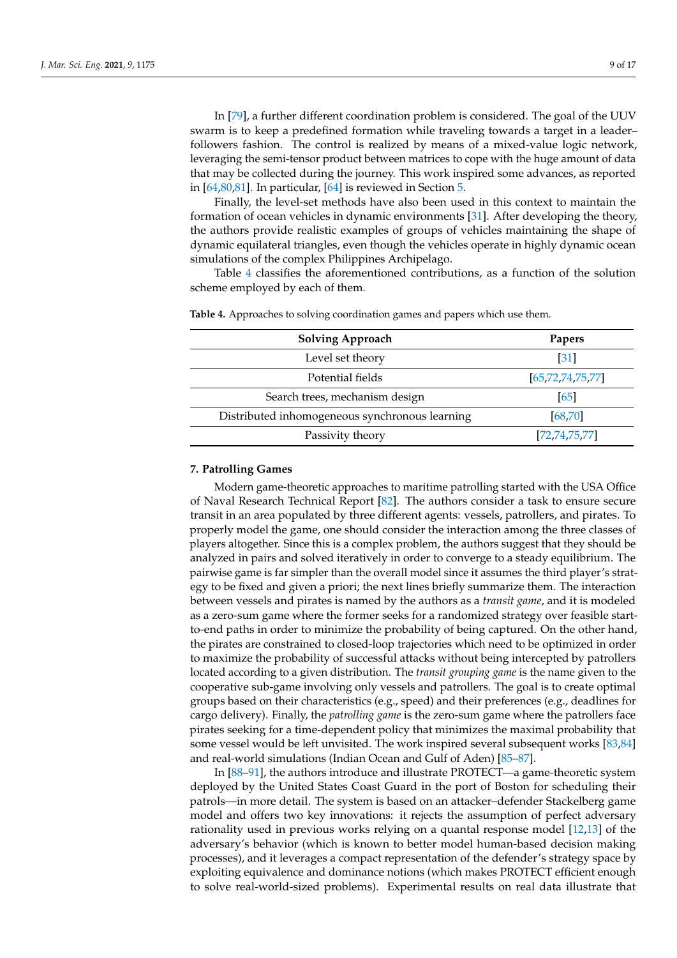In [\[79\]](#page-14-14), a further different coordination problem is considered. The goal of the UUV swarm is to keep a predefined formation while traveling towards a target in a leader– followers fashion. The control is realized by means of a mixed-value logic network, leveraging the semi-tensor product between matrices to cope with the huge amount of data that may be collected during the journey. This work inspired some advances, as reported in [\[64,](#page-13-26)[80,](#page-14-15)[81\]](#page-14-16). In particular, [\[64\]](#page-13-26) is reviewed in Section [5.](#page-6-1)

Finally, the level-set methods have also been used in this context to maintain the formation of ocean vehicles in dynamic environments [\[31\]](#page-12-19). After developing the theory, the authors provide realistic examples of groups of vehicles maintaining the shape of dynamic equilateral triangles, even though the vehicles operate in highly dynamic ocean simulations of the complex Philippines Archipelago.

Table [4](#page-8-1) classifies the aforementioned contributions, as a function of the solution scheme employed by each of them.

| <b>Solving Approach</b>                        | Papers               |
|------------------------------------------------|----------------------|
| Level set theory                               | $\lceil 31 \rceil$   |
| Potential fields                               | [65, 72, 74, 75, 77] |
| Search trees, mechanism design                 | 65                   |
| Distributed inhomogeneous synchronous learning | [68, 70]             |
| Passivity theory                               | [72, 74, 75, 77]     |
|                                                |                      |

<span id="page-8-1"></span>**Table 4.** Approaches to solving coordination games and papers which use them.

# <span id="page-8-0"></span>**7. Patrolling Games**

Modern game-theoretic approaches to maritime patrolling started with the USA Office of Naval Research Technical Report [\[82\]](#page-14-17). The authors consider a task to ensure secure transit in an area populated by three different agents: vessels, patrollers, and pirates. To properly model the game, one should consider the interaction among the three classes of players altogether. Since this is a complex problem, the authors suggest that they should be analyzed in pairs and solved iteratively in order to converge to a steady equilibrium. The pairwise game is far simpler than the overall model since it assumes the third player's strategy to be fixed and given a priori; the next lines briefly summarize them. The interaction between vessels and pirates is named by the authors as a *transit game*, and it is modeled as a zero-sum game where the former seeks for a randomized strategy over feasible startto-end paths in order to minimize the probability of being captured. On the other hand, the pirates are constrained to closed-loop trajectories which need to be optimized in order to maximize the probability of successful attacks without being intercepted by patrollers located according to a given distribution. The *transit grouping game* is the name given to the cooperative sub-game involving only vessels and patrollers. The goal is to create optimal groups based on their characteristics (e.g., speed) and their preferences (e.g., deadlines for cargo delivery). Finally, the *patrolling game* is the zero-sum game where the patrollers face pirates seeking for a time-dependent policy that minimizes the maximal probability that some vessel would be left unvisited. The work inspired several subsequent works [\[83](#page-14-18)[,84\]](#page-14-19) and real-world simulations (Indian Ocean and Gulf of Aden) [\[85–](#page-14-20)[87\]](#page-14-21).

In [\[88–](#page-14-22)[91\]](#page-15-0), the authors introduce and illustrate PROTECT—a game-theoretic system deployed by the United States Coast Guard in the port of Boston for scheduling their patrols—in more detail. The system is based on an attacker–defender Stackelberg game model and offers two key innovations: it rejects the assumption of perfect adversary rationality used in previous works relying on a quantal response model [\[12,](#page-12-3)[13\]](#page-12-4) of the adversary's behavior (which is known to better model human-based decision making processes), and it leverages a compact representation of the defender's strategy space by exploiting equivalence and dominance notions (which makes PROTECT efficient enough to solve real-world-sized problems). Experimental results on real data illustrate that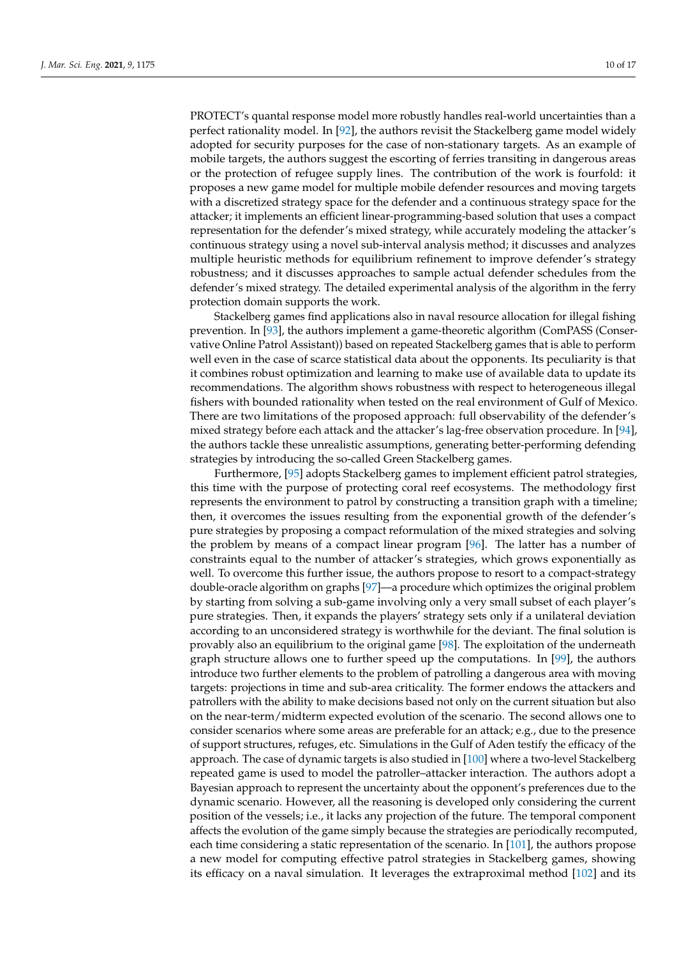PROTECT's quantal response model more robustly handles real-world uncertainties than a perfect rationality model. In [\[92\]](#page-15-1), the authors revisit the Stackelberg game model widely adopted for security purposes for the case of non-stationary targets. As an example of mobile targets, the authors suggest the escorting of ferries transiting in dangerous areas or the protection of refugee supply lines. The contribution of the work is fourfold: it proposes a new game model for multiple mobile defender resources and moving targets with a discretized strategy space for the defender and a continuous strategy space for the attacker; it implements an efficient linear-programming-based solution that uses a compact representation for the defender's mixed strategy, while accurately modeling the attacker's continuous strategy using a novel sub-interval analysis method; it discusses and analyzes multiple heuristic methods for equilibrium refinement to improve defender's strategy robustness; and it discusses approaches to sample actual defender schedules from the defender's mixed strategy. The detailed experimental analysis of the algorithm in the ferry protection domain supports the work.

Stackelberg games find applications also in naval resource allocation for illegal fishing prevention. In [\[93\]](#page-15-2), the authors implement a game-theoretic algorithm (ComPASS (Conservative Online Patrol Assistant)) based on repeated Stackelberg games that is able to perform well even in the case of scarce statistical data about the opponents. Its peculiarity is that it combines robust optimization and learning to make use of available data to update its recommendations. The algorithm shows robustness with respect to heterogeneous illegal fishers with bounded rationality when tested on the real environment of Gulf of Mexico. There are two limitations of the proposed approach: full observability of the defender's mixed strategy before each attack and the attacker's lag-free observation procedure. In [\[94\]](#page-15-3), the authors tackle these unrealistic assumptions, generating better-performing defending strategies by introducing the so-called Green Stackelberg games.

Furthermore, [\[95\]](#page-15-4) adopts Stackelberg games to implement efficient patrol strategies, this time with the purpose of protecting coral reef ecosystems. The methodology first represents the environment to patrol by constructing a transition graph with a timeline; then, it overcomes the issues resulting from the exponential growth of the defender's pure strategies by proposing a compact reformulation of the mixed strategies and solving the problem by means of a compact linear program [\[96\]](#page-15-5). The latter has a number of constraints equal to the number of attacker's strategies, which grows exponentially as well. To overcome this further issue, the authors propose to resort to a compact-strategy double-oracle algorithm on graphs [\[97\]](#page-15-6)—a procedure which optimizes the original problem by starting from solving a sub-game involving only a very small subset of each player's pure strategies. Then, it expands the players' strategy sets only if a unilateral deviation according to an unconsidered strategy is worthwhile for the deviant. The final solution is provably also an equilibrium to the original game [\[98\]](#page-15-7). The exploitation of the underneath graph structure allows one to further speed up the computations. In [\[99\]](#page-15-8), the authors introduce two further elements to the problem of patrolling a dangerous area with moving targets: projections in time and sub-area criticality. The former endows the attackers and patrollers with the ability to make decisions based not only on the current situation but also on the near-term/midterm expected evolution of the scenario. The second allows one to consider scenarios where some areas are preferable for an attack; e.g., due to the presence of support structures, refuges, etc. Simulations in the Gulf of Aden testify the efficacy of the approach. The case of dynamic targets is also studied in [\[100\]](#page-15-9) where a two-level Stackelberg repeated game is used to model the patroller–attacker interaction. The authors adopt a Bayesian approach to represent the uncertainty about the opponent's preferences due to the dynamic scenario. However, all the reasoning is developed only considering the current position of the vessels; i.e., it lacks any projection of the future. The temporal component affects the evolution of the game simply because the strategies are periodically recomputed, each time considering a static representation of the scenario. In [\[101\]](#page-15-10), the authors propose a new model for computing effective patrol strategies in Stackelberg games, showing its efficacy on a naval simulation. It leverages the extraproximal method [\[102\]](#page-15-11) and its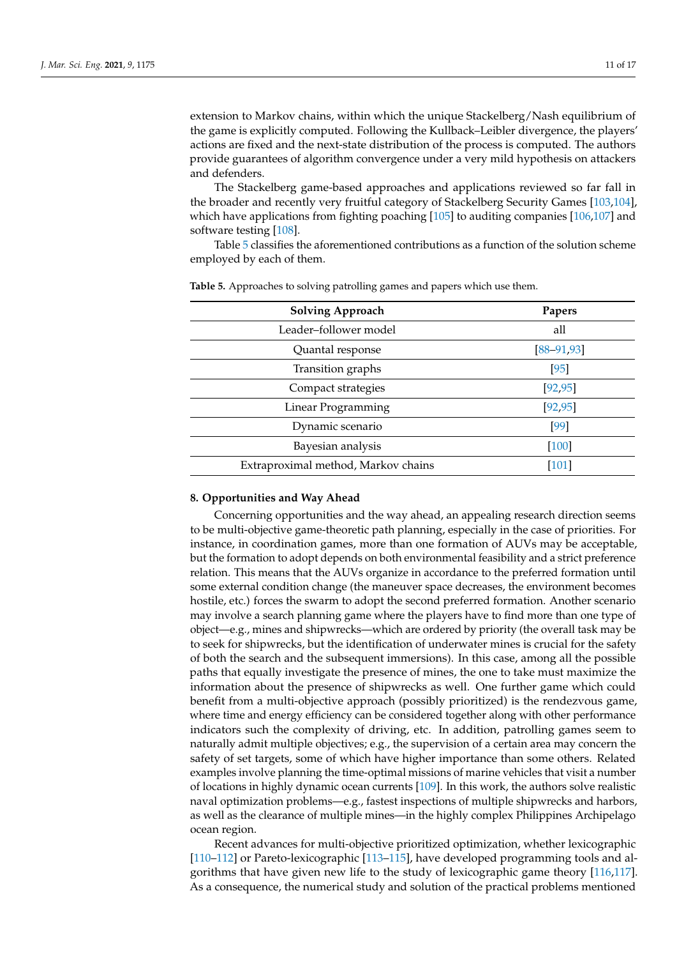extension to Markov chains, within which the unique Stackelberg/Nash equilibrium of the game is explicitly computed. Following the Kullback–Leibler divergence, the players' actions are fixed and the next-state distribution of the process is computed. The authors provide guarantees of algorithm convergence under a very mild hypothesis on attackers and defenders.

The Stackelberg game-based approaches and applications reviewed so far fall in the broader and recently very fruitful category of Stackelberg Security Games [\[103,](#page-15-12)[104\]](#page-15-13), which have applications from fighting poaching [\[105\]](#page-15-14) to auditing companies [\[106,](#page-15-15)[107\]](#page-15-16) and software testing [\[108\]](#page-15-17).

Table [5](#page-10-1) classifies the aforementioned contributions as a function of the solution scheme employed by each of them.

| <b>Solving Approach</b>             | Papers          |
|-------------------------------------|-----------------|
| Leader-follower model               | all             |
| Quantal response                    | $[88 - 91, 93]$ |
| Transition graphs                   | $[95]$          |
| Compact strategies                  | [92, 95]        |
| Linear Programming                  | [92, 95]        |
| Dynamic scenario                    | [99]            |
| Bayesian analysis                   | [100]           |
| Extraproximal method, Markov chains | $[101]$         |
|                                     |                 |

<span id="page-10-1"></span>**Table 5.** Approaches to solving patrolling games and papers which use them.

#### <span id="page-10-0"></span>**8. Opportunities and Way Ahead**

Concerning opportunities and the way ahead, an appealing research direction seems to be multi-objective game-theoretic path planning, especially in the case of priorities. For instance, in coordination games, more than one formation of AUVs may be acceptable, but the formation to adopt depends on both environmental feasibility and a strict preference relation. This means that the AUVs organize in accordance to the preferred formation until some external condition change (the maneuver space decreases, the environment becomes hostile, etc.) forces the swarm to adopt the second preferred formation. Another scenario may involve a search planning game where the players have to find more than one type of object—e.g., mines and shipwrecks—which are ordered by priority (the overall task may be to seek for shipwrecks, but the identification of underwater mines is crucial for the safety of both the search and the subsequent immersions). In this case, among all the possible paths that equally investigate the presence of mines, the one to take must maximize the information about the presence of shipwrecks as well. One further game which could benefit from a multi-objective approach (possibly prioritized) is the rendezvous game, where time and energy efficiency can be considered together along with other performance indicators such the complexity of driving, etc. In addition, patrolling games seem to naturally admit multiple objectives; e.g., the supervision of a certain area may concern the safety of set targets, some of which have higher importance than some others. Related examples involve planning the time-optimal missions of marine vehicles that visit a number of locations in highly dynamic ocean currents [\[109\]](#page-15-18). In this work, the authors solve realistic naval optimization problems—e.g., fastest inspections of multiple shipwrecks and harbors, as well as the clearance of multiple mines—in the highly complex Philippines Archipelago ocean region.

Recent advances for multi-objective prioritized optimization, whether lexicographic [\[110–](#page-15-19)[112\]](#page-15-20) or Pareto-lexicographic [\[113](#page-16-0)[–115\]](#page-16-1), have developed programming tools and algorithms that have given new life to the study of lexicographic game theory [\[116,](#page-16-2)[117\]](#page-16-3). As a consequence, the numerical study and solution of the practical problems mentioned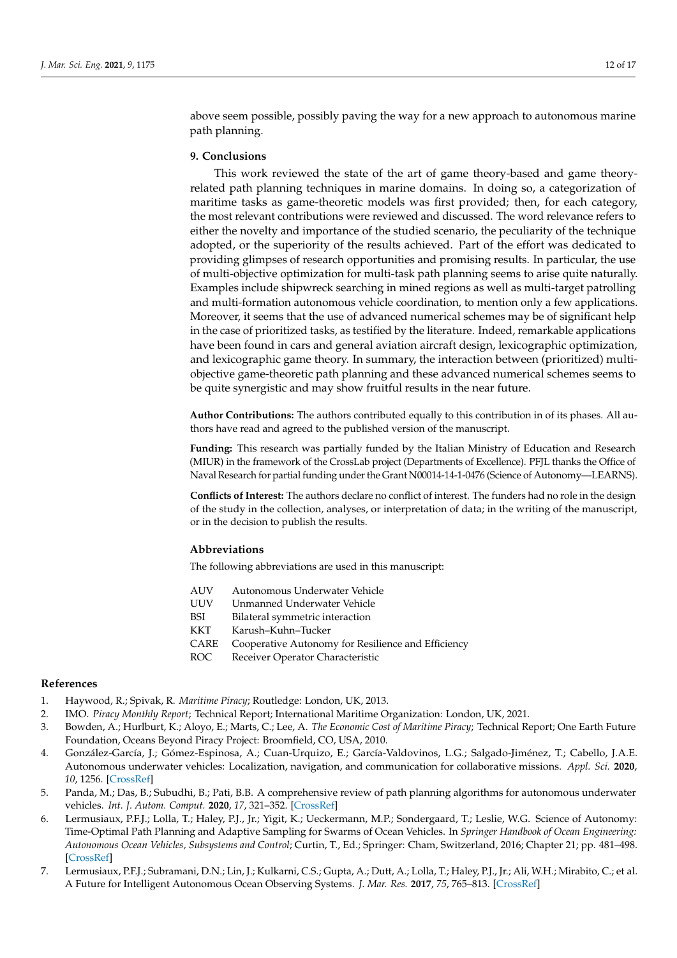above seem possible, possibly paving the way for a new approach to autonomous marine path planning.

## <span id="page-11-5"></span>**9. Conclusions**

This work reviewed the state of the art of game theory-based and game theoryrelated path planning techniques in marine domains. In doing so, a categorization of maritime tasks as game-theoretic models was first provided; then, for each category, the most relevant contributions were reviewed and discussed. The word relevance refers to either the novelty and importance of the studied scenario, the peculiarity of the technique adopted, or the superiority of the results achieved. Part of the effort was dedicated to providing glimpses of research opportunities and promising results. In particular, the use of multi-objective optimization for multi-task path planning seems to arise quite naturally. Examples include shipwreck searching in mined regions as well as multi-target patrolling and multi-formation autonomous vehicle coordination, to mention only a few applications. Moreover, it seems that the use of advanced numerical schemes may be of significant help in the case of prioritized tasks, as testified by the literature. Indeed, remarkable applications have been found in cars and general aviation aircraft design, lexicographic optimization, and lexicographic game theory. In summary, the interaction between (prioritized) multiobjective game-theoretic path planning and these advanced numerical schemes seems to be quite synergistic and may show fruitful results in the near future.

**Author Contributions:** The authors contributed equally to this contribution in of its phases. All authors have read and agreed to the published version of the manuscript.

**Funding:** This research was partially funded by the Italian Ministry of Education and Research (MIUR) in the framework of the CrossLab project (Departments of Excellence). PFJL thanks the Office of Naval Research for partial funding under the Grant N00014-14-1-0476 (Science of Autonomy—LEARNS).

**Conflicts of Interest:** The authors declare no conflict of interest. The funders had no role in the design of the study in the collection, analyses, or interpretation of data; in the writing of the manuscript, or in the decision to publish the results.

## **Abbreviations**

The following abbreviations are used in this manuscript:

- AUV Autonomous Underwater Vehicle
- UUV Unmanned Underwater Vehicle
- BSI Bilateral symmetric interaction
- KKT Karush–Kuhn–Tucker
- CARE Cooperative Autonomy for Resilience and Efficiency
- ROC Receiver Operator Characteristic

# **References**

- <span id="page-11-0"></span>1. Haywood, R.; Spivak, R. *Maritime Piracy*; Routledge: London, UK, 2013.
- <span id="page-11-1"></span>2. IMO. *Piracy Monthly Report*; Technical Report; International Maritime Organization: London, UK, 2021.
- <span id="page-11-2"></span>3. Bowden, A.; Hurlburt, K.; Aloyo, E.; Marts, C.; Lee, A. *The Economic Cost of Maritime Piracy*; Technical Report; One Earth Future Foundation, Oceans Beyond Piracy Project: Broomfield, CO, USA, 2010.
- <span id="page-11-3"></span>4. González-García, J.; Gómez-Espinosa, A.; Cuan-Urquizo, E.; García-Valdovinos, L.G.; Salgado-Jiménez, T.; Cabello, J.A.E. Autonomous underwater vehicles: Localization, navigation, and communication for collaborative missions. *Appl. Sci.* **2020**, *10*, 1256. [\[CrossRef\]](http://doi.org/10.3390/app10041256)
- 5. Panda, M.; Das, B.; Subudhi, B.; Pati, B.B. A comprehensive review of path planning algorithms for autonomous underwater vehicles. *Int. J. Autom. Comput.* **2020**, *17*, 321–352. [\[CrossRef\]](http://dx.doi.org/10.1007/s11633-019-1204-9)
- 6. Lermusiaux, P.F.J.; Lolla, T.; Haley, P.J., Jr.; Yigit, K.; Ueckermann, M.P.; Sondergaard, T.; Leslie, W.G. Science of Autonomy: Time-Optimal Path Planning and Adaptive Sampling for Swarms of Ocean Vehicles. In *Springer Handbook of Ocean Engineering: Autonomous Ocean Vehicles, Subsystems and Control*; Curtin, T., Ed.; Springer: Cham, Switzerland, 2016; Chapter 21; pp. 481–498. [\[CrossRef\]](http://dx.doi.org/10.1007/978-3-319-16649-0_21)
- <span id="page-11-4"></span>7. Lermusiaux, P.F.J.; Subramani, D.N.; Lin, J.; Kulkarni, C.S.; Gupta, A.; Dutt, A.; Lolla, T.; Haley, P.J., Jr.; Ali, W.H.; Mirabito, C.; et al. A Future for Intelligent Autonomous Ocean Observing Systems. *J. Mar. Res.* **2017**, *75*, 765–813. [\[CrossRef\]](http://dx.doi.org/10.1357/002224017823524035)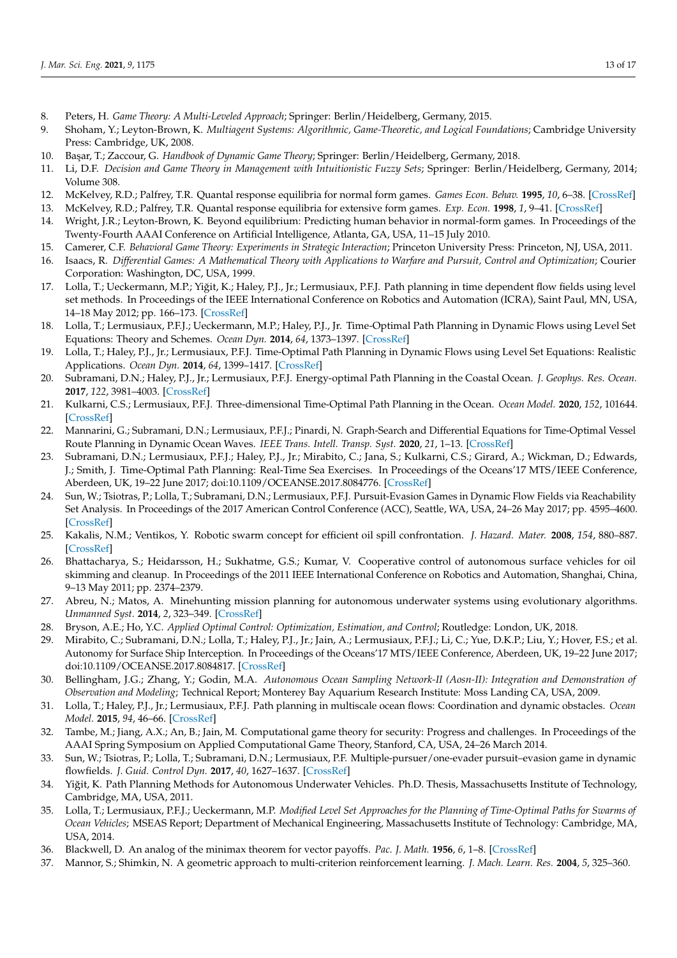- <span id="page-12-0"></span>8. Peters, H. *Game Theory: A Multi-Leveled Approach*; Springer: Berlin/Heidelberg, Germany, 2015.
- <span id="page-12-1"></span>9. Shoham, Y.; Leyton-Brown, K. *Multiagent Systems: Algorithmic, Game-Theoretic, and Logical Foundations*; Cambridge University Press: Cambridge, UK, 2008.
- 10. Ba¸sar, T.; Zaccour, G. *Handbook of Dynamic Game Theory*; Springer: Berlin/Heidelberg, Germany, 2018.
- <span id="page-12-2"></span>11. Li, D.F. *Decision and Game Theory in Management with Intuitionistic Fuzzy Sets*; Springer: Berlin/Heidelberg, Germany, 2014; Volume 308.
- <span id="page-12-3"></span>12. McKelvey, R.D.; Palfrey, T.R. Quantal response equilibria for normal form games. *Games Econ. Behav.* **1995**, *10*, 6–38. [\[CrossRef\]](http://dx.doi.org/10.1006/game.1995.1023)
- <span id="page-12-4"></span>13. McKelvey, R.D.; Palfrey, T.R. Quantal response equilibria for extensive form games. *Exp. Econ.* **1998**, *1*, 9–41. [\[CrossRef\]](http://dx.doi.org/10.1023/A:1009905800005)
- <span id="page-12-5"></span>14. Wright, J.R.; Leyton-Brown, K. Beyond equilibrium: Predicting human behavior in normal-form games. In Proceedings of the Twenty-Fourth AAAI Conference on Artificial Intelligence, Atlanta, GA, USA, 11–15 July 2010.
- <span id="page-12-6"></span>15. Camerer, C.F. *Behavioral Game Theory: Experiments in Strategic Interaction*; Princeton University Press: Princeton, NJ, USA, 2011.
- <span id="page-12-7"></span>16. Isaacs, R. Differential Games: A Mathematical Theory with Applications to Warfare and Pursuit, Control and Optimization; Courier Corporation: Washington, DC, USA, 1999.
- <span id="page-12-8"></span>17. Lolla, T.; Ueckermann, M.P.; Yiğit, K.; Haley, P.J., Jr.; Lermusiaux, P.F.J. Path planning in time dependent flow fields using level set methods. In Proceedings of the IEEE International Conference on Robotics and Automation (ICRA), Saint Paul, MN, USA, 14–18 May 2012; pp. 166–173. [\[CrossRef\]](http://dx.doi.org/10.1109/ICRA.2012.6225364)
- <span id="page-12-26"></span>18. Lolla, T.; Lermusiaux, P.F.J.; Ueckermann, M.P.; Haley, P.J., Jr. Time-Optimal Path Planning in Dynamic Flows using Level Set Equations: Theory and Schemes. *Ocean Dyn.* **2014**, *64*, 1373–1397. [\[CrossRef\]](http://dx.doi.org/10.1007/s10236-014-0757-y)
- <span id="page-12-27"></span>19. Lolla, T.; Haley, P.J., Jr.; Lermusiaux, P.F.J. Time-Optimal Path Planning in Dynamic Flows using Level Set Equations: Realistic Applications. *Ocean Dyn.* **2014**, *64*, 1399–1417. [\[CrossRef\]](http://dx.doi.org/10.1007/s10236-014-0760-3)
- 20. Subramani, D.N.; Haley, P.J., Jr.; Lermusiaux, P.F.J. Energy-optimal Path Planning in the Coastal Ocean. *J. Geophys. Res. Ocean.* **2017**, *122*, 3981–4003. [\[CrossRef\]](http://dx.doi.org/10.1002/2016JC012231)
- <span id="page-12-9"></span>21. Kulkarni, C.S.; Lermusiaux, P.F.J. Three-dimensional Time-Optimal Path Planning in the Ocean. *Ocean Model.* **2020**, *152*, 101644. [\[CrossRef\]](http://dx.doi.org/10.1016/j.ocemod.2020.101644)
- <span id="page-12-10"></span>22. Mannarini, G.; Subramani, D.N.; Lermusiaux, P.F.J.; Pinardi, N. Graph-Search and Differential Equations for Time-Optimal Vessel Route Planning in Dynamic Ocean Waves. *IEEE Trans. Intell. Transp. Syst.* **2020**, *21*, 1–13. [\[CrossRef\]](http://dx.doi.org/10.1109/TITS.2019.2935614)
- <span id="page-12-11"></span>23. Subramani, D.N.; Lermusiaux, P.F.J.; Haley, P.J., Jr.; Mirabito, C.; Jana, S.; Kulkarni, C.S.; Girard, A.; Wickman, D.; Edwards, J.; Smith, J. Time-Optimal Path Planning: Real-Time Sea Exercises. In Proceedings of the Oceans'17 MTS/IEEE Conference, Aberdeen, UK, 19–22 June 2017; doi:10.1109/OCEANSE.2017.8084776. [\[CrossRef\]](http://dx.doi.org/10.1109/OCEANSE.2017.8084776)
- <span id="page-12-12"></span>24. Sun, W.; Tsiotras, P.; Lolla, T.; Subramani, D.N.; Lermusiaux, P.F.J. Pursuit-Evasion Games in Dynamic Flow Fields via Reachability Set Analysis. In Proceedings of the 2017 American Control Conference (ACC), Seattle, WA, USA, 24–26 May 2017; pp. 4595–4600. [\[CrossRef\]](http://dx.doi.org/10.23919/ACC.2017.7963664)
- <span id="page-12-13"></span>25. Kakalis, N.M.; Ventikos, Y. Robotic swarm concept for efficient oil spill confrontation. *J. Hazard. Mater.* **2008**, *154*, 880–887. [\[CrossRef\]](http://dx.doi.org/10.1016/j.jhazmat.2007.10.112)
- <span id="page-12-14"></span>26. Bhattacharya, S.; Heidarsson, H.; Sukhatme, G.S.; Kumar, V. Cooperative control of autonomous surface vehicles for oil skimming and cleanup. In Proceedings of the 2011 IEEE International Conference on Robotics and Automation, Shanghai, China, 9–13 May 2011; pp. 2374–2379.
- <span id="page-12-15"></span>27. Abreu, N.; Matos, A. Minehunting mission planning for autonomous underwater systems using evolutionary algorithms. *Unmanned Syst.* **2014**, *2*, 323–349. [\[CrossRef\]](http://dx.doi.org/10.1142/S2301385014400081)
- <span id="page-12-16"></span>28. Bryson, A.E.; Ho, Y.C. *Applied Optimal Control: Optimization, Estimation, and Control*; Routledge: London, UK, 2018.
- <span id="page-12-17"></span>29. Mirabito, C.; Subramani, D.N.; Lolla, T.; Haley, P.J., Jr.; Jain, A.; Lermusiaux, P.F.J.; Li, C.; Yue, D.K.P.; Liu, Y.; Hover, F.S.; et al. Autonomy for Surface Ship Interception. In Proceedings of the Oceans'17 MTS/IEEE Conference, Aberdeen, UK, 19–22 June 2017; doi:10.1109/OCEANSE.2017.8084817. [\[CrossRef\]](http://dx.doi.org/10.1109/OCEANSE.2017.8084817)
- <span id="page-12-18"></span>30. Bellingham, J.G.; Zhang, Y.; Godin, M.A. *Autonomous Ocean Sampling Network-II (Aosn-II): Integration and Demonstration of Observation and Modeling*; Technical Report; Monterey Bay Aquarium Research Institute: Moss Landing CA, USA, 2009.
- <span id="page-12-19"></span>31. Lolla, T.; Haley, P.J., Jr.; Lermusiaux, P.F.J. Path planning in multiscale ocean flows: Coordination and dynamic obstacles. *Ocean Model.* **2015**, *94*, 46–66. [\[CrossRef\]](http://dx.doi.org/10.1016/j.ocemod.2015.07.013)
- <span id="page-12-20"></span>32. Tambe, M.; Jiang, A.X.; An, B.; Jain, M. Computational game theory for security: Progress and challenges. In Proceedings of the AAAI Spring Symposium on Applied Computational Game Theory, Stanford, CA, USA, 24–26 March 2014.
- <span id="page-12-21"></span>33. Sun, W.; Tsiotras, P.; Lolla, T.; Subramani, D.N.; Lermusiaux, P.F. Multiple-pursuer/one-evader pursuit–evasion game in dynamic flowfields. *J. Guid. Control Dyn.* **2017**, *40*, 1627–1637. [\[CrossRef\]](http://dx.doi.org/10.2514/1.G002125)
- <span id="page-12-22"></span>34. Yiğit, K. Path Planning Methods for Autonomous Underwater Vehicles. Ph.D. Thesis, Massachusetts Institute of Technology, Cambridge, MA, USA, 2011.
- <span id="page-12-23"></span>35. Lolla, T.; Lermusiaux, P.F.J.; Ueckermann, M.P. *Modified Level Set Approaches for the Planning of Time-Optimal Paths for Swarms of Ocean Vehicles*; MSEAS Report; Department of Mechanical Engineering, Massachusetts Institute of Technology: Cambridge, MA, USA, 2014.
- <span id="page-12-24"></span>36. Blackwell, D. An analog of the minimax theorem for vector payoffs. *Pac. J. Math.* **1956**, *6*, 1–8. [\[CrossRef\]](http://dx.doi.org/10.2140/pjm.1956.6.1)
- <span id="page-12-25"></span>37. Mannor, S.; Shimkin, N. A geometric approach to multi-criterion reinforcement learning. *J. Mach. Learn. Res.* **2004**, *5*, 325–360.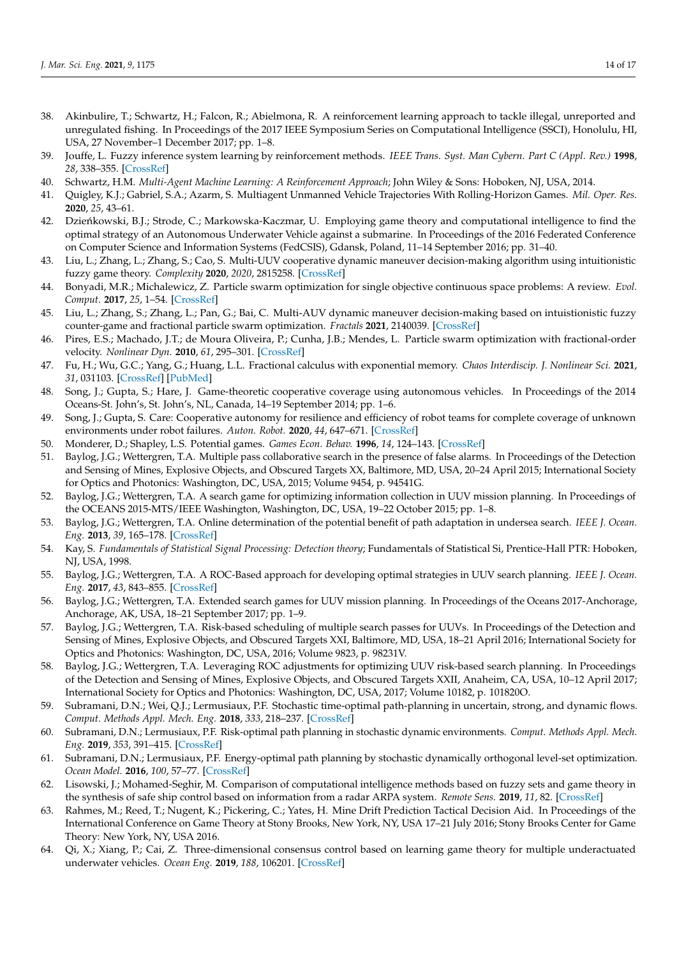- <span id="page-13-0"></span>38. Akinbulire, T.; Schwartz, H.; Falcon, R.; Abielmona, R. A reinforcement learning approach to tackle illegal, unreported and unregulated fishing. In Proceedings of the 2017 IEEE Symposium Series on Computational Intelligence (SSCI), Honolulu, HI, USA, 27 November–1 December 2017; pp. 1–8.
- <span id="page-13-1"></span>39. Jouffe, L. Fuzzy inference system learning by reinforcement methods. *IEEE Trans. Syst. Man Cybern. Part C (Appl. Rev.)* **1998**, *28*, 338–355. [\[CrossRef\]](http://dx.doi.org/10.1109/5326.704563)
- <span id="page-13-2"></span>40. Schwartz, H.M. *Multi-Agent Machine Learning: A Reinforcement Approach*; John Wiley & Sons: Hoboken, NJ, USA, 2014.
- <span id="page-13-3"></span>41. Quigley, K.J.; Gabriel, S.A.; Azarm, S. Multiagent Unmanned Vehicle Trajectories With Rolling-Horizon Games. *Mil. Oper. Res.* **2020**, *25*, 43–61.
- <span id="page-13-4"></span>42. Dzieńkowski, B.J.; Strode, C.; Markowska-Kaczmar, U. Employing game theory and computational intelligence to find the optimal strategy of an Autonomous Underwater Vehicle against a submarine. In Proceedings of the 2016 Federated Conference on Computer Science and Information Systems (FedCSIS), Gdansk, Poland, 11–14 September 2016; pp. 31–40.
- <span id="page-13-5"></span>43. Liu, L.; Zhang, L.; Zhang, S.; Cao, S. Multi-UUV cooperative dynamic maneuver decision-making algorithm using intuitionistic fuzzy game theory. *Complexity* **2020**, *2020*, 2815258. [\[CrossRef\]](http://dx.doi.org/10.1155/2020/2815258)
- <span id="page-13-6"></span>44. Bonyadi, M.R.; Michalewicz, Z. Particle swarm optimization for single objective continuous space problems: A review. *Evol. Comput.* **2017**, *25*, 1–54. [\[CrossRef\]](http://dx.doi.org/10.1162/EVCO_r_00180)
- <span id="page-13-7"></span>45. Liu, L.; Zhang, S.; Zhang, L.; Pan, G.; Bai, C. Multi-AUV dynamic maneuver decision-making based on intuistionistic fuzzy counter-game and fractional particle swarm optimization. *Fractals* **2021**, 2140039. [\[CrossRef\]](http://dx.doi.org/10.1142/S0218348X21400399)
- <span id="page-13-8"></span>46. Pires, E.S.; Machado, J.T.; de Moura Oliveira, P.; Cunha, J.B.; Mendes, L. Particle swarm optimization with fractional-order velocity. *Nonlinear Dyn.* **2010**, *61*, 295–301. [\[CrossRef\]](http://dx.doi.org/10.1007/s11071-009-9649-y)
- <span id="page-13-9"></span>47. Fu, H.; Wu, G.C.; Yang, G.; Huang, L.L. Fractional calculus with exponential memory. *Chaos Interdiscip. J. Nonlinear Sci.* **2021**, *31*, 031103. [\[CrossRef\]](http://dx.doi.org/10.1063/5.0043555) [\[PubMed\]](http://www.ncbi.nlm.nih.gov/pubmed/33810742)
- <span id="page-13-10"></span>48. Song, J.; Gupta, S.; Hare, J. Game-theoretic cooperative coverage using autonomous vehicles. In Proceedings of the 2014 Oceans-St. John's, St. John's, NL, Canada, 14–19 September 2014; pp. 1–6.
- <span id="page-13-11"></span>49. Song, J.; Gupta, S. Care: Cooperative autonomy for resilience and efficiency of robot teams for complete coverage of unknown environments under robot failures. *Auton. Robot.* **2020**, *44*, 647–671. [\[CrossRef\]](http://dx.doi.org/10.1007/s10514-019-09870-3)
- <span id="page-13-12"></span>50. Monderer, D.; Shapley, L.S. Potential games. *Games Econ. Behav.* **1996**, *14*, 124–143. [\[CrossRef\]](http://dx.doi.org/10.1006/game.1996.0044)
- <span id="page-13-13"></span>51. Baylog, J.G.; Wettergren, T.A. Multiple pass collaborative search in the presence of false alarms. In Proceedings of the Detection and Sensing of Mines, Explosive Objects, and Obscured Targets XX, Baltimore, MD, USA, 20–24 April 2015; International Society for Optics and Photonics: Washington, DC, USA, 2015; Volume 9454, p. 94541G.
- <span id="page-13-14"></span>52. Baylog, J.G.; Wettergren, T.A. A search game for optimizing information collection in UUV mission planning. In Proceedings of the OCEANS 2015-MTS/IEEE Washington, Washington, DC, USA, 19–22 October 2015; pp. 1–8.
- <span id="page-13-15"></span>53. Baylog, J.G.; Wettergren, T.A. Online determination of the potential benefit of path adaptation in undersea search. *IEEE J. Ocean. Eng.* **2013**, *39*, 165–178. [\[CrossRef\]](http://dx.doi.org/10.1109/JOE.2013.2286899)
- <span id="page-13-16"></span>54. Kay, S. *Fundamentals of Statistical Signal Processing: Detection theory*; Fundamentals of Statistical Si, Prentice-Hall PTR: Hoboken, NJ, USA, 1998.
- <span id="page-13-17"></span>55. Baylog, J.G.; Wettergren, T.A. A ROC-Based approach for developing optimal strategies in UUV search planning. *IEEE J. Ocean. Eng.* **2017**, *43*, 843–855. [\[CrossRef\]](http://dx.doi.org/10.1109/JOE.2017.2752078)
- <span id="page-13-18"></span>56. Baylog, J.G.; Wettergren, T.A. Extended search games for UUV mission planning. In Proceedings of the Oceans 2017-Anchorage, Anchorage, AK, USA, 18–21 September 2017; pp. 1–9.
- <span id="page-13-19"></span>57. Baylog, J.G.; Wettergren, T.A. Risk-based scheduling of multiple search passes for UUVs. In Proceedings of the Detection and Sensing of Mines, Explosive Objects, and Obscured Targets XXI, Baltimore, MD, USA, 18–21 April 2016; International Society for Optics and Photonics: Washington, DC, USA, 2016; Volume 9823, p. 98231V.
- <span id="page-13-20"></span>58. Baylog, J.G.; Wettergren, T.A. Leveraging ROC adjustments for optimizing UUV risk-based search planning. In Proceedings of the Detection and Sensing of Mines, Explosive Objects, and Obscured Targets XXII, Anaheim, CA, USA, 10–12 April 2017; International Society for Optics and Photonics: Washington, DC, USA, 2017; Volume 10182, p. 101820O.
- <span id="page-13-21"></span>59. Subramani, D.N.; Wei, Q.J.; Lermusiaux, P.F. Stochastic time-optimal path-planning in uncertain, strong, and dynamic flows. *Comput. Methods Appl. Mech. Eng.* **2018**, *333*, 218–237. [\[CrossRef\]](http://dx.doi.org/10.1016/j.cma.2018.01.004)
- <span id="page-13-22"></span>60. Subramani, D.N.; Lermusiaux, P.F. Risk-optimal path planning in stochastic dynamic environments. *Comput. Methods Appl. Mech. Eng.* **2019**, *353*, 391–415. [\[CrossRef\]](http://dx.doi.org/10.1016/j.cma.2019.04.033)
- <span id="page-13-23"></span>61. Subramani, D.N.; Lermusiaux, P.F. Energy-optimal path planning by stochastic dynamically orthogonal level-set optimization. *Ocean Model.* **2016**, *100*, 57–77. [\[CrossRef\]](http://dx.doi.org/10.1016/j.ocemod.2016.01.006)
- <span id="page-13-24"></span>62. Lisowski, J.; Mohamed-Seghir, M. Comparison of computational intelligence methods based on fuzzy sets and game theory in the synthesis of safe ship control based on information from a radar ARPA system. *Remote Sens.* **2019**, *11*, 82. [\[CrossRef\]](http://dx.doi.org/10.3390/rs11010082)
- <span id="page-13-25"></span>63. Rahmes, M.; Reed, T.; Nugent, K.; Pickering, C.; Yates, H. Mine Drift Prediction Tactical Decision Aid. In Proceedings of the International Conference on Game Theory at Stony Brooks, New York, NY, USA 17–21 July 2016; Stony Brooks Center for Game Theory: New York, NY, USA 2016.
- <span id="page-13-26"></span>64. Qi, X.; Xiang, P.; Cai, Z. Three-dimensional consensus control based on learning game theory for multiple underactuated underwater vehicles. *Ocean Eng.* **2019**, *188*, 106201. [\[CrossRef\]](http://dx.doi.org/10.1016/j.oceaneng.2019.106201)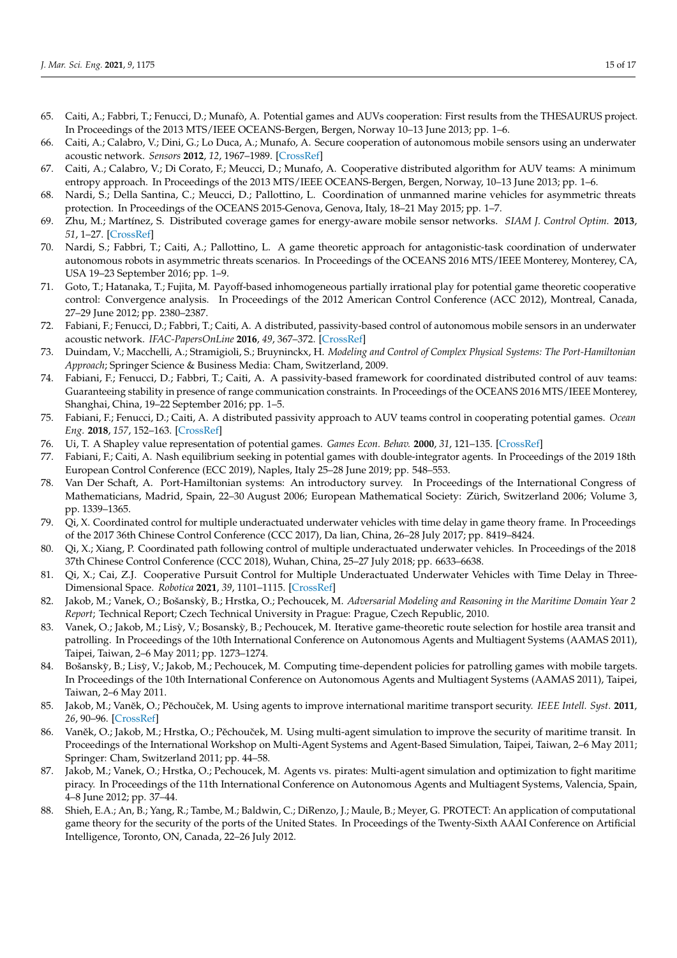- <span id="page-14-0"></span>65. Caiti, A.; Fabbri, T.; Fenucci, D.; Munafò, A. Potential games and AUVs cooperation: First results from the THESAURUS project. In Proceedings of the 2013 MTS/IEEE OCEANS-Bergen, Bergen, Norway 10–13 June 2013; pp. 1–6.
- <span id="page-14-1"></span>66. Caiti, A.; Calabro, V.; Dini, G.; Lo Duca, A.; Munafo, A. Secure cooperation of autonomous mobile sensors using an underwater acoustic network. *Sensors* **2012**, *12*, 1967–1989. [\[CrossRef\]](http://dx.doi.org/10.3390/s120201967)
- <span id="page-14-2"></span>67. Caiti, A.; Calabro, V.; Di Corato, F.; Meucci, D.; Munafo, A. Cooperative distributed algorithm for AUV teams: A minimum entropy approach. In Proceedings of the 2013 MTS/IEEE OCEANS-Bergen, Bergen, Norway, 10–13 June 2013; pp. 1–6.
- <span id="page-14-3"></span>68. Nardi, S.; Della Santina, C.; Meucci, D.; Pallottino, L. Coordination of unmanned marine vehicles for asymmetric threats protection. In Proceedings of the OCEANS 2015-Genova, Genova, Italy, 18–21 May 2015; pp. 1–7.
- <span id="page-14-4"></span>69. Zhu, M.; Martínez, S. Distributed coverage games for energy-aware mobile sensor networks. *SIAM J. Control Optim.* **2013**, *51*, 1–27. [\[CrossRef\]](http://dx.doi.org/10.1137/100784163)
- <span id="page-14-5"></span>70. Nardi, S.; Fabbri, T.; Caiti, A.; Pallottino, L. A game theoretic approach for antagonistic-task coordination of underwater autonomous robots in asymmetric threats scenarios. In Proceedings of the OCEANS 2016 MTS/IEEE Monterey, Monterey, CA, USA 19–23 September 2016; pp. 1–9.
- <span id="page-14-6"></span>71. Goto, T.; Hatanaka, T.; Fujita, M. Payoff-based inhomogeneous partially irrational play for potential game theoretic cooperative control: Convergence analysis. In Proceedings of the 2012 American Control Conference (ACC 2012), Montreal, Canada, 27–29 June 2012; pp. 2380–2387.
- <span id="page-14-7"></span>72. Fabiani, F.; Fenucci, D.; Fabbri, T.; Caiti, A. A distributed, passivity-based control of autonomous mobile sensors in an underwater acoustic network. *IFAC-PapersOnLine* **2016**, *49*, 367–372. [\[CrossRef\]](http://dx.doi.org/10.1016/j.ifacol.2016.10.432)
- <span id="page-14-8"></span>73. Duindam, V.; Macchelli, A.; Stramigioli, S.; Bruyninckx, H. *Modeling and Control of Complex Physical Systems: The Port-Hamiltonian Approach*; Springer Science & Business Media: Cham, Switzerland, 2009.
- <span id="page-14-9"></span>74. Fabiani, F.; Fenucci, D.; Fabbri, T.; Caiti, A. A passivity-based framework for coordinated distributed control of auv teams: Guaranteeing stability in presence of range communication constraints. In Proceedings of the OCEANS 2016 MTS/IEEE Monterey, Shanghai, China, 19–22 September 2016; pp. 1–5.
- <span id="page-14-10"></span>75. Fabiani, F.; Fenucci, D.; Caiti, A. A distributed passivity approach to AUV teams control in cooperating potential games. *Ocean Eng.* **2018**, *157*, 152–163. [\[CrossRef\]](http://dx.doi.org/10.1016/j.oceaneng.2018.02.065)
- <span id="page-14-11"></span>76. Ui, T. A Shapley value representation of potential games. *Games Econ. Behav.* **2000**, *31*, 121–135. [\[CrossRef\]](http://dx.doi.org/10.1006/game.1999.0729)
- <span id="page-14-12"></span>77. Fabiani, F.; Caiti, A. Nash equilibrium seeking in potential games with double-integrator agents. In Proceedings of the 2019 18th European Control Conference (ECC 2019), Naples, Italy 25–28 June 2019; pp. 548–553.
- <span id="page-14-13"></span>78. Van Der Schaft, A. Port-Hamiltonian systems: An introductory survey. In Proceedings of the International Congress of Mathematicians, Madrid, Spain, 22–30 August 2006; European Mathematical Society: Zürich, Switzerland 2006; Volume 3, pp. 1339–1365.
- <span id="page-14-14"></span>79. Qi, X. Coordinated control for multiple underactuated underwater vehicles with time delay in game theory frame. In Proceedings of the 2017 36th Chinese Control Conference (CCC 2017), Da lian, China, 26–28 July 2017; pp. 8419–8424.
- <span id="page-14-15"></span>80. Qi, X.; Xiang, P. Coordinated path following control of multiple underactuated underwater vehicles. In Proceedings of the 2018 37th Chinese Control Conference (CCC 2018), Wuhan, China, 25–27 July 2018; pp. 6633–6638.
- <span id="page-14-16"></span>81. Qi, X.; Cai, Z.J. Cooperative Pursuit Control for Multiple Underactuated Underwater Vehicles with Time Delay in Three-Dimensional Space. *Robotica* **2021**, *39*, 1101–1115. [\[CrossRef\]](http://dx.doi.org/10.1017/S0263574720000922)
- <span id="page-14-17"></span>82. Jakob, M.; Vanek, O.; Bošanskỳ, B.; Hrstka, O.; Pechoucek, M. Adversarial Modeling and Reasoning in the Maritime Domain Year 2 *Report*; Technical Report; Czech Technical University in Prague: Prague, Czech Republic, 2010.
- <span id="page-14-18"></span>83. Vanek, O.; Jakob, M.; Lisỳ, V.; Bosanskỳ, B.; Pechoucek, M. Iterative game-theoretic route selection for hostile area transit and patrolling. In Proceedings of the 10th International Conference on Autonomous Agents and Multiagent Systems (AAMAS 2011), Taipei, Taiwan, 2–6 May 2011; pp. 1273–1274.
- <span id="page-14-19"></span>84. Bošanskỳ, B.; Lisỳ, V.; Jakob, M.; Pechoucek, M. Computing time-dependent policies for patrolling games with mobile targets. In Proceedings of the 10th International Conference on Autonomous Agents and Multiagent Systems (AAMAS 2011), Taipei, Taiwan, 2–6 May 2011.
- <span id="page-14-20"></span>85. Jakob, M.; Vaněk, O.; Pěchouček, M. Using agents to improve international maritime transport security. *IEEE Intell. Syst.* 2011, *26*, 90–96. [\[CrossRef\]](http://dx.doi.org/10.1109/MIS.2011.23)
- 86. Vaněk, O.; Jakob, M.; Hrstka, O.; Pěchouček, M. Using multi-agent simulation to improve the security of maritime transit. In Proceedings of the International Workshop on Multi-Agent Systems and Agent-Based Simulation, Taipei, Taiwan, 2–6 May 2011; Springer: Cham, Switzerland 2011; pp. 44–58.
- <span id="page-14-21"></span>87. Jakob, M.; Vanek, O.; Hrstka, O.; Pechoucek, M. Agents vs. pirates: Multi-agent simulation and optimization to fight maritime piracy. In Proceedings of the 11th International Conference on Autonomous Agents and Multiagent Systems, Valencia, Spain, 4–8 June 2012; pp. 37–44.
- <span id="page-14-22"></span>88. Shieh, E.A.; An, B.; Yang, R.; Tambe, M.; Baldwin, C.; DiRenzo, J.; Maule, B.; Meyer, G. PROTECT: An application of computational game theory for the security of the ports of the United States. In Proceedings of the Twenty-Sixth AAAI Conference on Artificial Intelligence, Toronto, ON, Canada, 22–26 July 2012.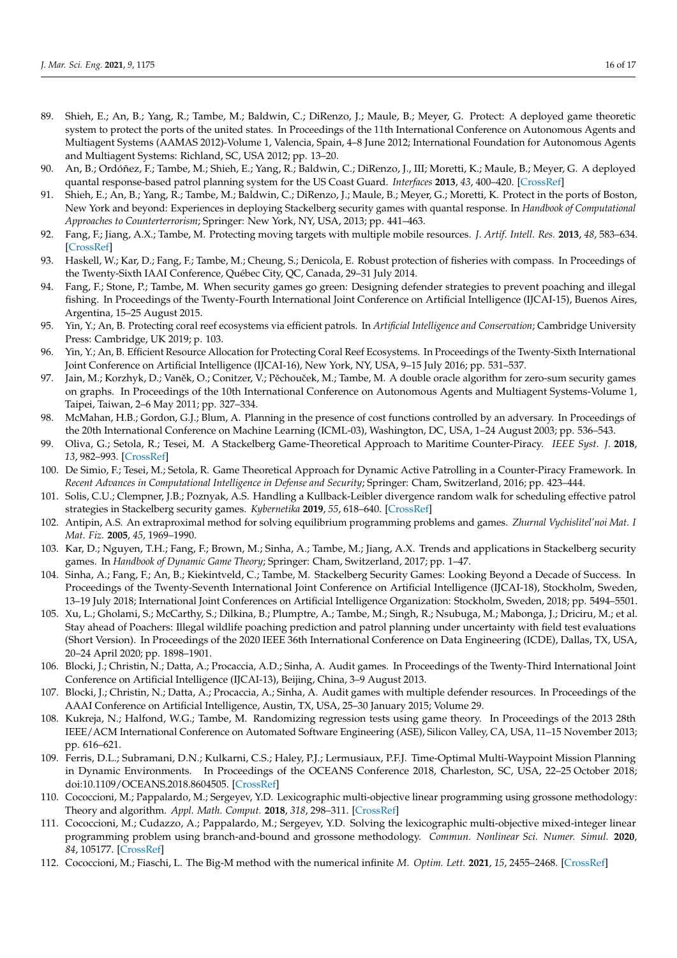- 89. Shieh, E.; An, B.; Yang, R.; Tambe, M.; Baldwin, C.; DiRenzo, J.; Maule, B.; Meyer, G. Protect: A deployed game theoretic system to protect the ports of the united states. In Proceedings of the 11th International Conference on Autonomous Agents and Multiagent Systems (AAMAS 2012)-Volume 1, Valencia, Spain, 4–8 June 2012; International Foundation for Autonomous Agents and Multiagent Systems: Richland, SC, USA 2012; pp. 13–20.
- 90. An, B.; Ordóñez, F.; Tambe, M.; Shieh, E.; Yang, R.; Baldwin, C.; DiRenzo, J., III; Moretti, K.; Maule, B.; Meyer, G. A deployed quantal response-based patrol planning system for the US Coast Guard. *Interfaces* **2013**, *43*, 400–420. [\[CrossRef\]](http://dx.doi.org/10.1287/inte.2013.0700)
- <span id="page-15-0"></span>91. Shieh, E.; An, B.; Yang, R.; Tambe, M.; Baldwin, C.; DiRenzo, J.; Maule, B.; Meyer, G.; Moretti, K. Protect in the ports of Boston, New York and beyond: Experiences in deploying Stackelberg security games with quantal response. In *Handbook of Computational Approaches to Counterterrorism*; Springer: New York, NY, USA, 2013; pp. 441–463.
- <span id="page-15-1"></span>92. Fang, F.; Jiang, A.X.; Tambe, M. Protecting moving targets with multiple mobile resources. *J. Artif. Intell. Res.* **2013**, *48*, 583–634. [\[CrossRef\]](http://dx.doi.org/10.1613/jair.4027)
- <span id="page-15-2"></span>93. Haskell, W.; Kar, D.; Fang, F.; Tambe, M.; Cheung, S.; Denicola, E. Robust protection of fisheries with compass. In Proceedings of the Twenty-Sixth IAAI Conference, Québec City, QC, Canada, 29–31 July 2014.
- <span id="page-15-3"></span>94. Fang, F.; Stone, P.; Tambe, M. When security games go green: Designing defender strategies to prevent poaching and illegal fishing. In Proceedings of the Twenty-Fourth International Joint Conference on Artificial Intelligence (IJCAI-15), Buenos Aires, Argentina, 15–25 August 2015.
- <span id="page-15-4"></span>95. Yin, Y.; An, B. Protecting coral reef ecosystems via efficient patrols. In *Artificial Intelligence and Conservation*; Cambridge University Press: Cambridge, UK 2019; p. 103.
- <span id="page-15-5"></span>96. Yin, Y.; An, B. Efficient Resource Allocation for Protecting Coral Reef Ecosystems. In Proceedings of the Twenty-Sixth International Joint Conference on Artificial Intelligence (IJCAI-16), New York, NY, USA, 9–15 July 2016; pp. 531–537.
- <span id="page-15-6"></span>97. Jain, M.; Korzhyk, D.; Vaněk, O.; Conitzer, V.; Pěchouček, M.; Tambe, M. A double oracle algorithm for zero-sum security games on graphs. In Proceedings of the 10th International Conference on Autonomous Agents and Multiagent Systems-Volume 1, Taipei, Taiwan, 2–6 May 2011; pp. 327–334.
- <span id="page-15-7"></span>98. McMahan, H.B.; Gordon, G.J.; Blum, A. Planning in the presence of cost functions controlled by an adversary. In Proceedings of the 20th International Conference on Machine Learning (ICML-03), Washington, DC, USA, 1–24 August 2003; pp. 536–543.
- <span id="page-15-8"></span>99. Oliva, G.; Setola, R.; Tesei, M. A Stackelberg Game-Theoretical Approach to Maritime Counter-Piracy. *IEEE Syst. J.* **2018**, *13*, 982–993. [\[CrossRef\]](http://dx.doi.org/10.1109/JSYST.2018.2795892)
- <span id="page-15-9"></span>100. De Simio, F.; Tesei, M.; Setola, R. Game Theoretical Approach for Dynamic Active Patrolling in a Counter-Piracy Framework. In *Recent Advances in Computational Intelligence in Defense and Security*; Springer: Cham, Switzerland, 2016; pp. 423–444.
- <span id="page-15-10"></span>101. Solis, C.U.; Clempner, J.B.; Poznyak, A.S. Handling a Kullback-Leibler divergence random walk for scheduling effective patrol strategies in Stackelberg security games. *Kybernetika* **2019**, *55*, 618–640. [\[CrossRef\]](http://dx.doi.org/10.14736/kyb-2019-4-0618)
- <span id="page-15-11"></span>102. Antipin, A.S. An extraproximal method for solving equilibrium programming problems and games. *Zhurnal Vychislitel'noi Mat. I Mat. Fiz.* **2005**, *45*, 1969–1990.
- <span id="page-15-12"></span>103. Kar, D.; Nguyen, T.H.; Fang, F.; Brown, M.; Sinha, A.; Tambe, M.; Jiang, A.X. Trends and applications in Stackelberg security games. In *Handbook of Dynamic Game Theory*; Springer: Cham, Switzerland, 2017; pp. 1–47.
- <span id="page-15-13"></span>104. Sinha, A.; Fang, F.; An, B.; Kiekintveld, C.; Tambe, M. Stackelberg Security Games: Looking Beyond a Decade of Success. In Proceedings of the Twenty-Seventh International Joint Conference on Artificial Intelligence (IJCAI-18), Stockholm, Sweden, 13–19 July 2018; International Joint Conferences on Artificial Intelligence Organization: Stockholm, Sweden, 2018; pp. 5494–5501.
- <span id="page-15-14"></span>105. Xu, L.; Gholami, S.; McCarthy, S.; Dilkina, B.; Plumptre, A.; Tambe, M.; Singh, R.; Nsubuga, M.; Mabonga, J.; Driciru, M.; et al. Stay ahead of Poachers: Illegal wildlife poaching prediction and patrol planning under uncertainty with field test evaluations (Short Version). In Proceedings of the 2020 IEEE 36th International Conference on Data Engineering (ICDE), Dallas, TX, USA, 20–24 April 2020; pp. 1898–1901.
- <span id="page-15-15"></span>106. Blocki, J.; Christin, N.; Datta, A.; Procaccia, A.D.; Sinha, A. Audit games. In Proceedings of the Twenty-Third International Joint Conference on Artificial Intelligence (IJCAI-13), Beijing, China, 3–9 August 2013.
- <span id="page-15-16"></span>107. Blocki, J.; Christin, N.; Datta, A.; Procaccia, A.; Sinha, A. Audit games with multiple defender resources. In Proceedings of the AAAI Conference on Artificial Intelligence, Austin, TX, USA, 25–30 January 2015; Volume 29.
- <span id="page-15-17"></span>108. Kukreja, N.; Halfond, W.G.; Tambe, M. Randomizing regression tests using game theory. In Proceedings of the 2013 28th IEEE/ACM International Conference on Automated Software Engineering (ASE), Silicon Valley, CA, USA, 11–15 November 2013; pp. 616–621.
- <span id="page-15-18"></span>109. Ferris, D.L.; Subramani, D.N.; Kulkarni, C.S.; Haley, P.J.; Lermusiaux, P.F.J. Time-Optimal Multi-Waypoint Mission Planning in Dynamic Environments. In Proceedings of the OCEANS Conference 2018, Charleston, SC, USA, 22–25 October 2018; doi:10.1109/OCEANS.2018.8604505. [\[CrossRef\]](http://dx.doi.org/10.1109/OCEANS.2018.8604505)
- <span id="page-15-19"></span>110. Cococcioni, M.; Pappalardo, M.; Sergeyev, Y.D. Lexicographic multi-objective linear programming using grossone methodology: Theory and algorithm. *Appl. Math. Comput.* **2018**, *318*, 298–311. [\[CrossRef\]](http://dx.doi.org/10.1016/j.amc.2017.05.058)
- 111. Cococcioni, M.; Cudazzo, A.; Pappalardo, M.; Sergeyev, Y.D. Solving the lexicographic multi-objective mixed-integer linear programming problem using branch-and-bound and grossone methodology. *Commun. Nonlinear Sci. Numer. Simul.* **2020**, *84*, 105177. [\[CrossRef\]](http://dx.doi.org/10.1016/j.cnsns.2020.105177)
- <span id="page-15-20"></span>112. Cococcioni, M.; Fiaschi, L. The Big-M method with the numerical infinite *M*. *Optim. Lett.* **2021**, *15*, 2455–2468. [\[CrossRef\]](http://dx.doi.org/10.1007/s11590-020-01644-6)